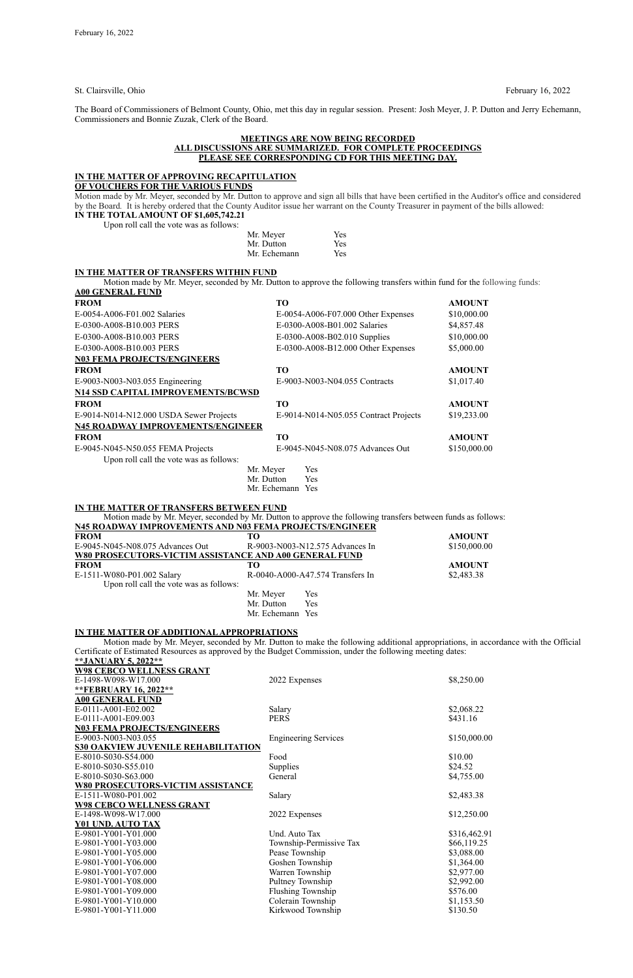St. Clairsville, Ohio February 16, 2022

The Board of Commissioners of Belmont County, Ohio, met this day in regular session. Present: Josh Meyer, J. P. Dutton and Jerry Echemann, Commissioners and Bonnie Zuzak, Clerk of the Board.

#### **MEETINGS ARE NOW BEING RECORDED ALL DISCUSSIONS ARE SUMMARIZED. FOR COMPLETE PROCEEDINGS PLEASE SEE CORRESPONDING CD FOR THIS MEETING DAY.**

### **IN THE MATTER OF APPROVING RECAPITULATION**

**OF VOUCHERS FOR THE VARIOUS FUNDS**

Motion made by Mr. Meyer, seconded by Mr. Dutton to approve and sign all bills that have been certified in the Auditor's office and considered by the Board*.* It is hereby ordered that the County Auditor issue her warrant on the County Treasurer in payment of the bills allowed: **IN THE TOTAL AMOUNT OF \$1,605,742.21**

Upon roll call the vote was as follows:

| Mr. Meyer    | Yes |
|--------------|-----|
| Mr. Dutton   | Yes |
| Mr. Echemann | Yes |

### **IN THE MATTER OF TRANSFERS WITHIN FUND**

Motion made by Mr. Meyer, seconded by Mr. Dutton to approve the following transfers within fund for the following funds: **A00 GENERAL FUND**

E-1511-W080-P01.002 Salary R-0040-A000-A47.574 Transfers In \$2,483.38 Upon roll call the vote was as follows: Mr. Meyer Yes

| <b>FROM</b>                               | <b>TO</b>                             | <b>AMOUNT</b> |
|-------------------------------------------|---------------------------------------|---------------|
| E-0054-A006-F01.002 Salaries              | $E$ -0054-A006-F07.000 Other Expenses | \$10,000.00   |
| E-0300-A008-B10.003 PERS                  | E-0300-A008-B01.002 Salaries          | \$4,857.48    |
| E-0300-A008-B10.003 PERS                  | E-0300-A008-B02.010 Supplies          | \$10,000.00   |
| E-0300-A008-B10.003 PERS                  | E-0300-A008-B12.000 Other Expenses    | \$5,000.00    |
| <b>N03 FEMA PROJECTS/ENGINEERS</b>        |                                       |               |
| <b>FROM</b>                               | <b>TO</b>                             | <b>AMOUNT</b> |
| E-9003-N003-N03.055 Engineering           | E-9003-N003-N04.055 Contracts         | \$1,017.40    |
| <b>N14 SSD CAPITAL IMPROVEMENTS/BCWSD</b> |                                       |               |
| <b>FROM</b>                               | <b>TO</b>                             | <b>AMOUNT</b> |
| E-9014-N014-N12.000 USDA Sewer Projects   | E-9014-N014-N05.055 Contract Projects | \$19,233.00   |
| <b>N45 ROADWAY IMPROVEMENTS/ENGINEER</b>  |                                       |               |
| <b>FROM</b>                               | <b>TO</b>                             | <b>AMOUNT</b> |
| E-9045-N045-N50.055 FEMA Projects         | E-9045-N045-N08.075 Advances Out      | \$150,000.00  |
| Upon roll call the vote was as follows:   |                                       |               |
|                                           | Yes<br>Mr. Meyer                      |               |
|                                           | Mr. Dutton<br>Yes                     |               |
|                                           | Mr. Echemann Yes                      |               |
| IN THE MATTER OF TRANSFERS BETWEEN FUND   |                                       |               |

Motion made by Mr. Meyer, seconded by Mr. Dutton to approve the following transfers between funds as follows: **N45 ROADWAY IMPROVEMENTS AND N03 FEMA PROJECTS/ENGINEER** FROM AMOUNT E-9045-N045-N08.075 Advances Out R-9003-N003-N12.575 Advances In \$150,000.00 **W80 PROSECUTORS-VICTIM ASSISTANCE AND A00 GENERAL FUND FROM TO AMOUNT**

> Mr. Dutton Yes Mr. Echemann Yes

### **IN THE MATTER OF ADDITIONAL APPROPRIATIONS**

Motion made by Mr. Meyer, seconded by Mr. Dutton to make the following additional appropriations, in accordance with the Official Certificate of Estimated Resources as approved by the Budget Commission, under the following meeting dates: **\*\*JANUARY 5, 2022\*\***

| <b>W98 CEBCO WELLNESS GRANT</b>            |                             |              |
|--------------------------------------------|-----------------------------|--------------|
| E-1498-W098-W17.000                        | 2022 Expenses               | \$8,250.00   |
| **FEBRUARY 16, 2022**                      |                             |              |
| <b>A00 GENERAL FUND</b>                    |                             |              |
| E-0111-A001-E02.002                        | Salary                      | \$2,068.22   |
| E-0111-A001-E09.003                        | <b>PERS</b>                 | \$431.16     |
| <b>N03 FEMA PROJECTS/ENGINEERS</b>         |                             |              |
| E-9003-N003-N03.055                        | <b>Engineering Services</b> | \$150,000.00 |
| <b>S30 OAKVIEW JUVENILE REHABILITATION</b> |                             |              |
| E-8010-S030-S54.000                        | Food                        | \$10.00      |
| E-8010-S030-S55.010                        | <b>Supplies</b>             | \$24.52      |
| E-8010-S030-S63.000                        | General                     | \$4,755.00   |
| <b>W80 PROSECUTORS-VICTIM ASSISTANCE</b>   |                             |              |
| E-1511-W080-P01.002                        | Salary                      | \$2,483.38   |
| <b>W98 CEBCO WELLNESS GRANT</b>            |                             |              |
| E-1498-W098-W17.000                        | 2022 Expenses               | \$12,250.00  |
| Y01 UND. AUTO TAX                          |                             |              |
| E-9801-Y001-Y01.000                        | Und. Auto Tax               | \$316,462.91 |
| E-9801-Y001-Y03.000                        | Township-Permissive Tax     | \$66,119.25  |
| E-9801-Y001-Y05.000                        | Pease Township              | \$3,088.00   |
| E-9801-Y001-Y06.000                        | Goshen Township             | \$1,364.00   |
| E-9801-Y001-Y07.000                        | Warren Township             | \$2,977.00   |
| E-9801-Y001-Y08.000                        | Pultney Township            | \$2,992.00   |
| E-9801-Y001-Y09.000                        | Flushing Township           | \$576.00     |
| E-9801-Y001-Y10.000                        | Colerain Township           | \$1,153.50   |
| E-9801-Y001-Y11.000                        | Kirkwood Township           | \$130.50     |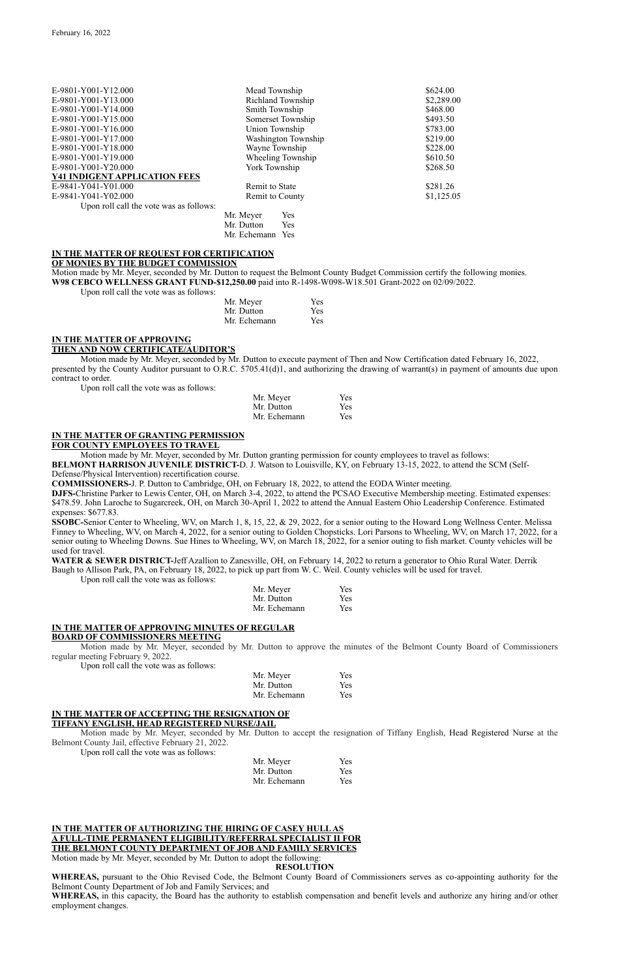| E-9801-Y001-Y12.000                     | Mead Township            | \$624.00   |
|-----------------------------------------|--------------------------|------------|
| E-9801-Y001-Y13.000                     | <b>Richland Township</b> | \$2,289.00 |
| E-9801-Y001-Y14.000                     | Smith Township           | \$468.00   |
| E-9801-Y001-Y15.000                     | Somerset Township        | \$493.50   |
| E-9801-Y001-Y16.000                     | Union Township           | \$783.00   |
| E-9801-Y001-Y17.000                     | Washington Township      | \$219.00   |
| E-9801-Y001-Y18.000                     | Wayne Township           | \$228.00   |
| E-9801-Y001-Y19.000                     | Wheeling Township        | \$610.50   |
| E-9801-Y001-Y20.000                     | York Township            | \$268.50   |
| <b>Y41 INDIGENT APPLICATION FEES</b>    |                          |            |
| E-9841-Y041-Y01.000                     | Remit to State           | \$281.26   |
| E-9841-Y041-Y02.000                     | Remit to County          | \$1,125.05 |
| Upon roll call the vote was as follows: |                          |            |
|                                         | Yes<br>Mr. Meyer         |            |
|                                         | Mr. Dutton<br>Yes        |            |

Mr. Echemann Yes

#### **IN THE MATTER OF REQUEST FOR CERTIFICATION OF MONIES BY THE BUDGET COMMISSION**

Motion made by Mr. Meyer, seconded by Mr. Dutton to request the Belmont County Budget Commission certify the following monies. **W98 CEBCO WELLNESS GRANT FUND-\$12,250.00** paid into R-1498-W098-W18.501 Grant-2022 on 02/09/2022.

Upon roll call the vote was as follows:

| Mr. Meyer    | <b>Yes</b> |
|--------------|------------|
| Mr. Dutton   | <b>Yes</b> |
| Mr. Echemann | <b>Yes</b> |

### **IN THE MATTER OF APPROVING THEN AND NOW CERTIFICATE/AUDITOR'S**

Motion made by Mr. Meyer, seconded by Mr. Dutton to execute payment of Then and Now Certification dated February 16, 2022, presented by the County Auditor pursuant to O.R.C. 5705.41(d)1, and authorizing the drawing of warrant(s) in payment of amounts due upon contract to order.

Upon roll call the vote was as follows:

| Mr. Meyer    | Yes |
|--------------|-----|
| Mr. Dutton   | Yes |
| Mr. Echemann | Yes |

WATER & SEWER DISTRICT-Jeff Azallion to Zanesville, OH, on February 14, 2022 to return a generator to Ohio Rural Water. Derrik Baugh to Allison Park, PA, on February 18, 2022, to pick up part from W. C. Weil. County vehicles will be used for travel.

# **IN THE MATTER OF GRANTING PERMISSION**

**FOR COUNTY EMPLOYEES TO TRAVEL**

Motion made by Mr. Meyer, seconded by Mr. Dutton granting permission for county employees to travel as follows: **BELMONT HARRISON JUVENILE DISTRICT-**D. J. Watson to Louisville, KY, on February 13-15, 2022, to attend the SCM (Self-

#### Defense/Physical Intervention) recertification course.

**COMMISSIONERS-**J. P. Dutton to Cambridge, OH, on February 18, 2022, to attend the EODA Winter meeting.

**DJFS-**Christine Parker to Lewis Center, OH, on March 3-4, 2022, to attend the PCSAO Executive Membership meeting. Estimated expenses: \$478.59. John Laroche to Sugarcreek, OH, on March 30-April 1, 2022 to attend the Annual Eastern Ohio Leadership Conference. Estimated expenses: \$677.83.

**SSOBC-**Senior Center to Wheeling, WV, on March 1, 8, 15, 22, & 29, 2022, for a senior outing to the Howard Long Wellness Center. Melissa Finney to Wheeling, WV, on March 4, 2022, for a senior outing to Golden Chopsticks. Lori Parsons to Wheeling, WV, on March 17, 2022, for a senior outing to Wheeling Downs. Sue Hines to Wheeling, WV, on March 18, 2022, for a senior outing to fish market. County vehicles will be used for travel.

Upon roll call the vote was as follows:

| Mr. Meyer    | <b>Yes</b> |
|--------------|------------|
| Mr. Dutton   | <b>Yes</b> |
| Mr. Echemann | <b>Yes</b> |

#### **IN THE MATTER OF APPROVING MINUTES OF REGULAR BOARD OF COMMISSIONERS MEETING**

Motion made by Mr. Meyer, seconded by Mr. Dutton to approve the minutes of the Belmont County Board of Commissioners regular meeting February 9, 2022.

Upon roll call the vote was as follows:

| Mr. Meyer    | Yes |
|--------------|-----|
| Mr. Dutton   | Yes |
| Mr. Echemann | Yes |

#### **IN THE MATTER OF ACCEPTING THE RESIGNATION OF**

#### **TIFFANY ENGLISH, HEAD REGISTERED NURSE/JAIL**

Motion made by Mr. Meyer, seconded by Mr. Dutton to accept the resignation of Tiffany English, Head Registered Nurse at the Belmont County Jail, effective February 21, 2022.

Upon roll call the vote was as follows:

| Mr. Meyer    | Yes |
|--------------|-----|
| Mr. Dutton   | Yes |
| Mr. Echemann | Yes |

### **IN THE MATTER OF AUTHORIZING THE HIRING OF CASEY HULL AS A FULL-TIME PERMANENT ELIGIBILITY/REFERRAL SPECIALIST II FOR THE BELMONT COUNTY DEPARTMENT OF JOB AND FAMILY SERVICES**

Motion made by Mr. Meyer, seconded by Mr. Dutton to adopt the following:

### **RESOLUTION**

**WHEREAS,** pursuant to the Ohio Revised Code, the Belmont County Board of Commissioners serves as co-appointing authority for the Belmont County Department of Job and Family Services; and

**WHEREAS,** in this capacity, the Board has the authority to establish compensation and benefit levels and authorize any hiring and/or other employment changes.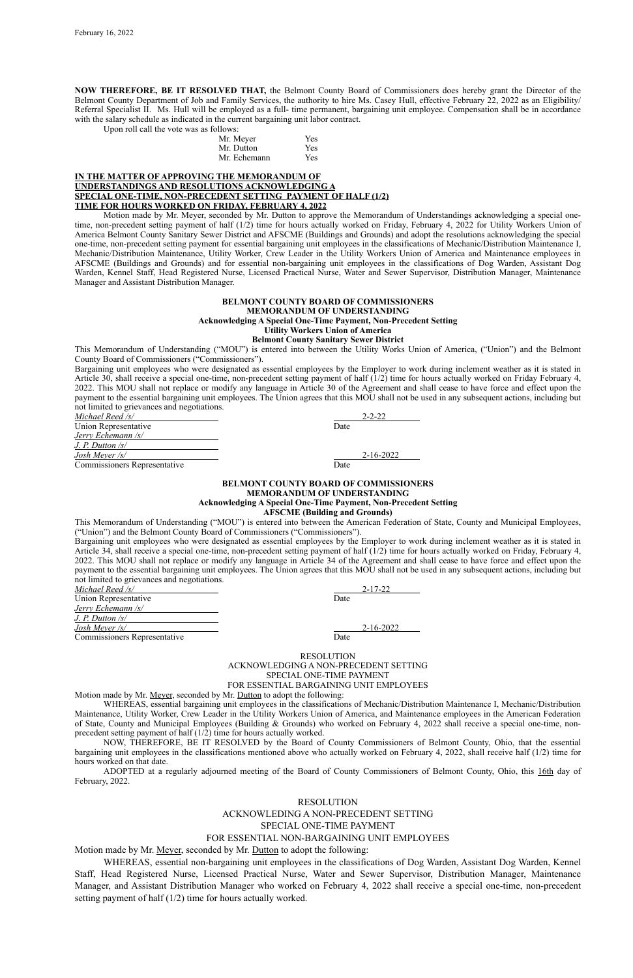**NOW THEREFORE, BE IT RESOLVED THAT,** the Belmont County Board of Commissioners does hereby grant the Director of the Belmont County Department of Job and Family Services, the authority to hire Ms. Casey Hull, effective February 22, 2022 as an Eligibility/ Referral Specialist II. Ms. Hull will be employed as a full- time permanent, bargaining unit employee. Compensation shall be in accordance with the salary schedule as indicated in the current bargaining unit labor contract.

Upon roll call the vote was as follows:

| .            |     |
|--------------|-----|
| Mr. Meyer    | Yes |
| Mr. Dutton   | Yes |
| Mr. Echemann | Yes |
|              |     |

#### **IN THE MATTER OF APPROVING THE MEMORANDUM OF UNDERSTANDINGS AND RESOLUTIONS ACKNOWLEDGING A SPECIAL ONE-TIME, NON-PRECEDENT SETTING PAYMENT OF HALF (1/2) TIME FOR HOURS WORKED ON FRIDAY, FEBRUARY 4, 2022**

Motion made by Mr. Meyer, seconded by Mr. Dutton to approve the Memorandum of Understandings acknowledging a special onetime, non-precedent setting payment of half (1/2) time for hours actually worked on Friday, February 4, 2022 for Utility Workers Union of America Belmont County Sanitary Sewer District and AFSCME (Buildings and Grounds) and adopt the resolutions acknowledging the special one-time, non-precedent setting payment for essential bargaining unit employees in the classifications of Mechanic/Distribution Maintenance I, Mechanic/Distribution Maintenance, Utility Worker, Crew Leader in the Utility Workers Union of America and Maintenance employees in AFSCME (Buildings and Grounds) and for essential non-bargaining unit employees in the classifications of Dog Warden, Assistant Dog Warden, Kennel Staff, Head Registered Nurse, Licensed Practical Nurse, Water and Sewer Supervisor, Distribution Manager, Maintenance Manager and Assistant Distribution Manager.

#### **BELMONT COUNTY BOARD OF COMMISSIONERS MEMORANDUM OF UNDERSTANDING Acknowledging A Special One-Time Payment, Non-Precedent Setting Utility Workers Union of America Belmont County Sanitary Sewer District**

This Memorandum of Understanding ("MOU") is entered into between the Utility Works Union of America, ("Union") and the Belmont County Board of Commissioners ("Commissioners").

Bargaining unit employees who were designated as essential employees by the Employer to work during inclement weather as it is stated in Article 30, shall receive a special one-time, non-precedent setting payment of half (1/2) time for hours actually worked on Friday February 4, 2022. This MOU shall not replace or modify any language in Article 30 of the Agreement and shall cease to have force and effect upon the payment to the essential bargaining unit employees. The Union agrees that this MOU shall not be used in any subsequent actions, including but not limited to grievances and negotiations.

| Michael Reed /s/                    | $2 - 2 - 22$    |
|-------------------------------------|-----------------|
| Union Representative                | Date            |
| Jerry Echemann /s/                  |                 |
| $J. P.$ Dutton $\sqrt{s}$           |                 |
| Josh Meyer $\sqrt{s}$               | $2 - 16 - 2022$ |
| <b>Commissioners Representative</b> | Date            |

#### **BELMONT COUNTY BOARD OF COMMISSIONERS MEMORANDUM OF UNDERSTANDING Acknowledging A Special One-Time Payment, Non-Precedent Setting AFSCME (Building and Grounds)**

This Memorandum of Understanding ("MOU") is entered into between the American Federation of State, County and Municipal Employees, ("Union") and the Belmont County Board of Commissioners ("Commissioners").

Bargaining unit employees who were designated as essential employees by the Employer to work during inclement weather as it is stated in Article 34, shall receive a special one-time, non-precedent setting payment of half (1/2) time for hours actually worked on Friday, February 4, 2022. This MOU shall not replace or modify any language in Article 34 of the Agreement and shall cease to have force and effect upon the payment to the essential bargaining unit employees. The Union agrees that this MOU shall not be used in any subsequent actions, including but not limited to grievances and negotiations.

| Michael Reed /s/                    | $2 - 17 - 22$ |
|-------------------------------------|---------------|
| Union Representative                | Date          |
| Jerry Echemann /s/                  |               |
| $J. P.$ Dutton $\sqrt{s}/s$         |               |
| Josh Meyer /s/                      | 2-16-2022     |
| <b>Commissioners Representative</b> | Date          |

RESOLUTION ACKNOWLEDGING A NON-PRECEDENT SETTING SPECIAL ONE-TIME PAYMENT FOR ESSENTIAL BARGAINING UNIT EMPLOYEES

Motion made by Mr. Meyer, seconded by Mr. Dutton to adopt the following:

WHEREAS, essential bargaining unit employees in the classifications of Mechanic/Distribution Maintenance I, Mechanic/Distribution Maintenance, Utility Worker, Crew Leader in the Utility Workers Union of America, and Maintenance employees in the American Federation

of State, County and Municipal Employees (Building & Grounds) who worked on February 4, 2022 shall receive a special one-time, nonprecedent setting payment of half (1/2) time for hours actually worked.

NOW, THEREFORE, BE IT RESOLVED by the Board of County Commissioners of Belmont County, Ohio, that the essential bargaining unit employees in the classifications mentioned above who actually worked on February 4, 2022, shall receive half (1/2) time for hours worked on that date.

ADOPTED at a regularly adjourned meeting of the Board of County Commissioners of Belmont County, Ohio, this 16th day of February, 2022.

### RESOLUTION

## ACKNOWLEDING A NON-PRECEDENT SETTING

# SPECIAL ONE-TIME PAYMENT

### FOR ESSENTIAL NON-BARGAINING UNIT EMPLOYEES

Motion made by Mr. Meyer, seconded by Mr. Dutton to adopt the following:

WHEREAS, essential non-bargaining unit employees in the classifications of Dog Warden, Assistant Dog Warden, Kennel Staff, Head Registered Nurse, Licensed Practical Nurse, Water and Sewer Supervisor, Distribution Manager, Maintenance Manager, and Assistant Distribution Manager who worked on February 4, 2022 shall receive a special one-time, non-precedent setting payment of half (1/2) time for hours actually worked.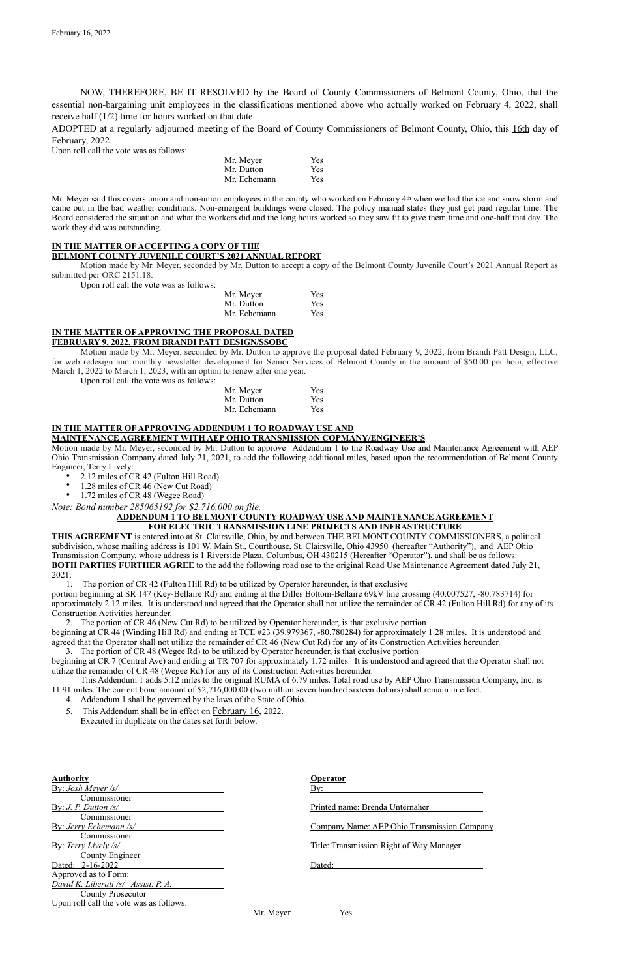NOW, THEREFORE, BE IT RESOLVED by the Board of County Commissioners of Belmont County, Ohio, that the essential non-bargaining unit employees in the classifications mentioned above who actually worked on February 4, 2022, shall receive half (1/2) time for hours worked on that date.

ADOPTED at a regularly adjourned meeting of the Board of County Commissioners of Belmont County, Ohio, this 16th day of February, 2022.

Upon roll call the vote was as follows:

Mr. Meyer said this covers union and non-union employees in the county who worked on February 4<sup>th</sup> when we had the ice and snow storm and came out in the bad weather conditions. Non-emergent buildings were closed. The policy manual states they just get paid regular time. The Board considered the situation and what the workers did and the long hours worked so they saw fit to give them time and one-half that day. The work they did was outstanding.

| Mr. Meyer    | Yes        |
|--------------|------------|
| Mr. Dutton   | Yes        |
| Mr. Echemann | <b>Yes</b> |

### **IN THE MATTER OF ACCEPTING A COPY OF THE**

**BELMONT COUNTY JUVENILE COURT'S 2021 ANNUAL REPORT**

Motion made by Mr. Meyer, seconded by Mr. Dutton to accept a copy of the Belmont County Juvenile Court's 2021 Annual Report as submitted per ORC 2151.18.

- 2.12 miles of CR 42 (Fulton Hill Road)
- 1.28 miles of CR 46 (New Cut Road)
- 1.72 miles of CR 48 (Wegee Road)

Upon roll call the vote was as follows:

| Mr. Meyer    | <b>Yes</b> |
|--------------|------------|
| Mr. Dutton   | <b>Yes</b> |
| Mr. Echemann | <b>Yes</b> |

#### **IN THE MATTER OF APPROVING THE PROPOSAL DATED FEBRUARY 9, 2022, FROM BRANDI PATT DESIGN/SSOBC**

Motion made by Mr. Meyer, seconded by Mr. Dutton to approve the proposal dated February 9, 2022, from Brandi Patt Design, LLC, for web redesign and monthly newsletter development for Senior Services of Belmont County in the amount of \$50.00 per hour, effective March 1, 2022 to March 1, 2023, with an option to renew after one year.

Upon roll call the vote was as follows:

| Mr. Meyer    | Yes |
|--------------|-----|
| Mr. Dutton   | Yes |
| Mr. Echemann | Yes |

#### **IN THE MATTER OF APPROVING ADDENDUM 1 TO ROADWAY USE AND MAINTENANCE AGREEMENT WITH AEP OHIO TRANSMISSION COPMANY/ENGINEER'S**

Motion made by Mr. Meyer, seconded by Mr. Dutton to approve Addendum 1 to the Roadway Use and Maintenance Agreement with AEP Ohio Transmission Company dated July 21, 2021, to add the following additional miles, based upon the recommendation of Belmont County Engineer, Terry Lively:

*Note: Bond number 285065192 for \$2,716,000 on file.* 

### **ADDENDUM 1 TO BELMONT COUNTY ROADWAY USE AND MAINTENANCE AGREEMENT FOR ELECTRIC TRANSMISSION LINE PROJECTS AND INFRASTRUCTURE**

**THIS AGREEMENT** is entered into at St. Clairsville, Ohio, by and between THE BELMONT COUNTY COMMISSIONERS, a political subdivision, whose mailing address is 101 W. Main St., Courthouse, St. Clairsville, Ohio 43950 (hereafter "Authority"), and AEP Ohio Transmission Company, whose address is 1 Riverside Plaza, Columbus, OH 430215 (Hereafter "Operator"), and shall be as follows: **BOTH PARTIES FURTHER AGREE** to the add the following road use to the original Road Use Maintenance Agreement dated July 21, 2021:

1. The portion of CR 42 (Fulton Hill Rd) to be utilized by Operator hereunder, is that exclusive

portion beginning at SR 147 (Key-Bellaire Rd) and ending at the Dilles Bottom-Bellaire 69kV line crossing (40.007527, -80.783714) for approximately 2.12 miles. It is understood and agreed that the Operator shall not utilize the remainder of CR 42 (Fulton Hill Rd) for any of its Construction Activities hereunder.

2. The portion of CR 46 (New Cut Rd) to be utilized by Operator hereunder, is that exclusive portion beginning at CR 44 (Winding Hill Rd) and ending at TCE #23 (39.979367, -80.780284) for approximately 1.28 miles. It is understood and agreed that the Operator shall not utilize the remainder of CR 46 (New Cut Rd) for any of its Construction Activities hereunder.

3. The portion of CR 48 (Wegee Rd) to be utilized by Operator hereunder, is that exclusive portion beginning at CR 7 (Central Ave) and ending at TR 707 for approximately 1.72 miles. It is understood and agreed that the Operator shall not utilize the remainder of CR 48 (Wegee Rd) for any of its Construction Activities hereunder.

This Addendum 1 adds 5.12 miles to the original RUMA of 6.79 miles. Total road use by AEP Ohio Transmission Company, Inc. is 11.91 miles. The current bond amount of \$2,716,000.00 (two million seven hundred sixteen dollars) shall remain in effect.

4. Addendum 1 shall be governed by the laws of the State of Ohio.

5. This Addendum shall be in effect on February 16, 2022.

Executed in duplicate on the dates set forth below.

#### **Authority Operator** By: *Josh Meyer /s/* By: Commissioner By: *J. P. Dutton /s/* Printed name: Brenda Unternaher Commissioner By: *Jerry Echemann /s/* Company Name: AEP Ohio Transmission Company Commissioner By: *Terry Lively /s/* Title: Transmission Right of Way Manager County Engineer Dated: 2-16-2022 Dated: Approved as to Form: *David K. Liberati /s/ Assist. P. A.* County Prosecutor Upon roll call the vote was as follows:

Mr. Meyer Yes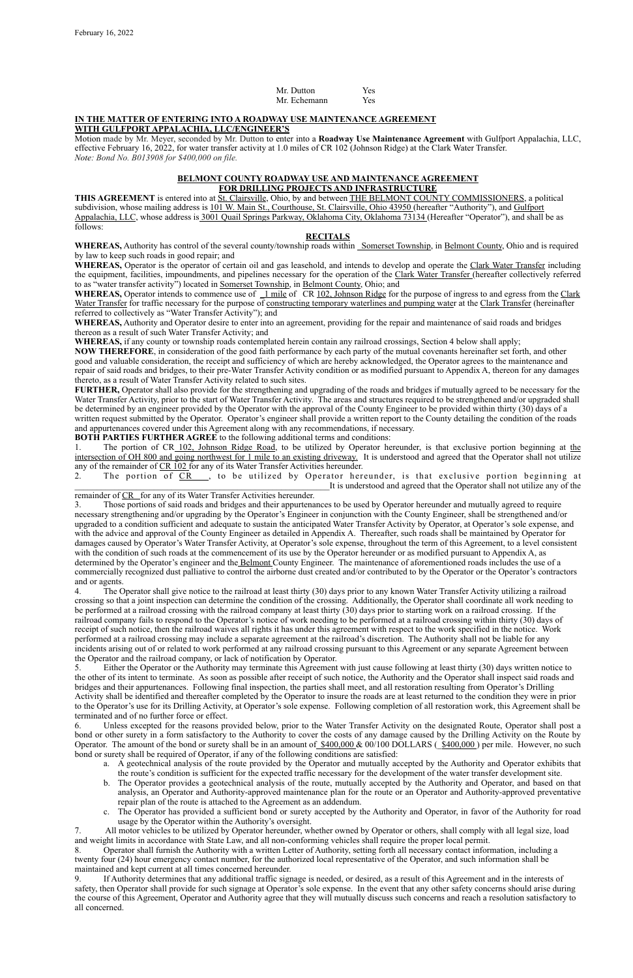| Mr. Dutton   | <b>Yes</b> |
|--------------|------------|
| Mr. Echemann | Yes        |

#### **IN THE MATTER OF ENTERING INTO A ROADWAY USE MAINTENANCE AGREEMENT WITH GULFPORT APPALACHIA, LLC/ENGINEER'S**

Motion made by Mr. Meyer, seconded by Mr. Dutton to enter into a **Roadway Use Maintenance Agreement** with Gulfport Appalachia, LLC, effective February 16, 2022, for water transfer activity at 1.0 miles of CR 102 (Johnson Ridge) at the Clark Water Transfer. *Note: Bond No. B013908 for \$400,000 on file.*

### **BELMONT COUNTY ROADWAY USE AND MAINTENANCE AGREEMENT FOR DRILLING PROJECTS AND INFRASTRUCTURE**

WHEREAS, Authority has control of the several county/township roads within Somerset Township, in Belmont County, Ohio and is required by law to keep such roads in good repair; and

**THIS AGREEMENT** is entered into at St. Clairsville, Ohio, by and between THE BELMONT COUNTY COMMISSIONERS, a political subdivision, whose mailing address is 101 W. Main St., Courthouse, St. Clairsville, Ohio 43950 (hereafter "Authority"), and Gulfport Appalachia, LLC, whose address is 3001 Quail Springs Parkway, Oklahoma City, Oklahoma 73134 (Hereafter "Operator"), and shall be as follows:

WHEREAS, Operator intends to commence use of 1 mile of CR 102, Johnson Ridge for the purpose of ingress to and egress from the Clark Water Transfer for traffic necessary for the purpose of constructing temporary waterlines and pumping water at the Clark Transfer (hereinafter referred to collectively as "Water Transfer Activity"); and

### **RECITALS**

**WHEREAS,** Operator is the operator of certain oil and gas leasehold, and intends to develop and operate the Clark Water Transfer including the equipment, facilities, impoundments, and pipelines necessary for the operation of the Clark Water Transfer (hereafter collectively referred to as "water transfer activity") located in Somerset Township, in Belmont County, Ohio; and

**WHEREAS,** Authority and Operator desire to enter into an agreement, providing for the repair and maintenance of said roads and bridges thereon as a result of such Water Transfer Activity; and

**WHEREAS,** if any county or township roads contemplated herein contain any railroad crossings, Section 4 below shall apply;

**NOW THEREFORE**, in consideration of the good faith performance by each party of the mutual covenants hereinafter set forth, and other good and valuable consideration, the receipt and sufficiency of which are hereby acknowledged, the Operator agrees to the maintenance and repair of said roads and bridges, to their pre-Water Transfer Activity condition or as modified pursuant to Appendix A, thereon for any damages thereto, as a result of Water Transfer Activity related to such sites.

**FURTHER,** Operator shall also provide for the strengthening and upgrading of the roads and bridges if mutually agreed to be necessary for the Water Transfer Activity, prior to the start of Water Transfer Activity. The areas and structures required to be strengthened and/or upgraded shall be determined by an engineer provided by the Operator with the approval of the County Engineer to be provided within thirty (30) days of a written request submitted by the Operator. Operator's engineer shall provide a written report to the County detailing the condition of the roads and appurtenances covered under this Agreement along with any recommendations, if necessary.

**BOTH PARTIES FURTHER AGREE** to the following additional terms and conditions:

1. The portion of CR 102, Johnson Ridge Road, to be utilized by Operator hereunder, is that exclusive portion beginning at the intersection of OH 800 and going northwest for 1 mile to an existing driveway. It is understood and agreed that the Operator shall not utilize any of the remainder of CR 102 for any of its Water Transfer Activities hereunder.

2. The portion of CR \_\_, to be utilized by Operator hereunder, is that exclusive portion beginning at It is understood and agreed that the Operator shall not utilize any of the

remainder of CR for any of its Water Transfer Activities hereunder.

6. Unless excepted for the reasons provided below, prior to the Water Transfer Activity on the designated Route, Operator shall post a bond or other surety in a form satisfactory to the Authority to cover the costs of any damage caused by the Drilling Activity on the Route by Operator. The amount of the bond or surety shall be in an amount of  $$400,000 \& 00/100 \text{ DOLLARS}$  ( $$400,000$ ) per mile. However, no such bond or surety shall be required of Operator, if any of the following conditions are satisfied:

3. Those portions of said roads and bridges and their appurtenances to be used by Operator hereunder and mutually agreed to require necessary strengthening and/or upgrading by the Operator's Engineer in conjunction with the County Engineer, shall be strengthened and/or upgraded to a condition sufficient and adequate to sustain the anticipated Water Transfer Activity by Operator, at Operator's sole expense, and with the advice and approval of the County Engineer as detailed in Appendix A. Thereafter, such roads shall be maintained by Operator for damages caused by Operator's Water Transfer Activity, at Operator's sole expense, throughout the term of this Agreement, to a level consistent with the condition of such roads at the commencement of its use by the Operator hereunder or as modified pursuant to Appendix A, as determined by the Operator's engineer and the Belmont County Engineer. The maintenance of aforementioned roads includes the use of a commercially recognized dust palliative to control the airborne dust created and/or contributed to by the Operator or the Operator's contractors and or agents.

4. The Operator shall give notice to the railroad at least thirty (30) days prior to any known Water Transfer Activity utilizing a railroad crossing so that a joint inspection can determine the condition of the crossing. Additionally, the Operator shall coordinate all work needing to be performed at a railroad crossing with the railroad company at least thirty (30) days prior to starting work on a railroad crossing. If the railroad company fails to respond to the Operator's notice of work needing to be performed at a railroad crossing within thirty (30) days of receipt of such notice, then the railroad waives all rights it has under this agreement with respect to the work specified in the notice. Work performed at a railroad crossing may include a separate agreement at the railroad's discretion. The Authority shall not be liable for any incidents arising out of or related to work performed at any railroad crossing pursuant to this Agreement or any separate Agreement between the Operator and the railroad company, or lack of notification by Operator.

5. Either the Operator or the Authority may terminate this Agreement with just cause following at least thirty (30) days written notice to the other of its intent to terminate. As soon as possible after receipt of such notice, the Authority and the Operator shall inspect said roads and bridges and their appurtenances. Following final inspection, the parties shall meet, and all restoration resulting from Operator's Drilling Activity shall be identified and thereafter completed by the Operator to insure the roads are at least returned to the condition they were in prior to the Operator's use for its Drilling Activity, at Operator's sole expense. Following completion of all restoration work, this Agreement shall be terminated and of no further force or effect.

- a. A geotechnical analysis of the route provided by the Operator and mutually accepted by the Authority and Operator exhibits that the route's condition is sufficient for the expected traffic necessary for the development of the water transfer development site.
- b. The Operator provides a geotechnical analysis of the route, mutually accepted by the Authority and Operator, and based on that analysis, an Operator and Authority-approved maintenance plan for the route or an Operator and Authority-approved preventative repair plan of the route is attached to the Agreement as an addendum.
- c. The Operator has provided a sufficient bond or surety accepted by the Authority and Operator, in favor of the Authority for road usage by the Operator within the Authority's oversight.

7. All motor vehicles to be utilized by Operator hereunder, whether owned by Operator or others, shall comply with all legal size, load and weight limits in accordance with State Law, and all non-conforming vehicles shall require the proper local permit.

8. Operator shall furnish the Authority with a written Letter of Authority, setting forth all necessary contact information, including a twenty four (24) hour emergency contact number, for the authorized local representative of the Operator, and such information shall be maintained and kept current at all times concerned hereunder.

9. If Authority determines that any additional traffic signage is needed, or desired, as a result of this Agreement and in the interests of safety, then Operator shall provide for such signage at Operator's sole expense. In the event that any other safety concerns should arise during the course of this Agreement, Operator and Authority agree that they will mutually discuss such concerns and reach a resolution satisfactory to all concerned.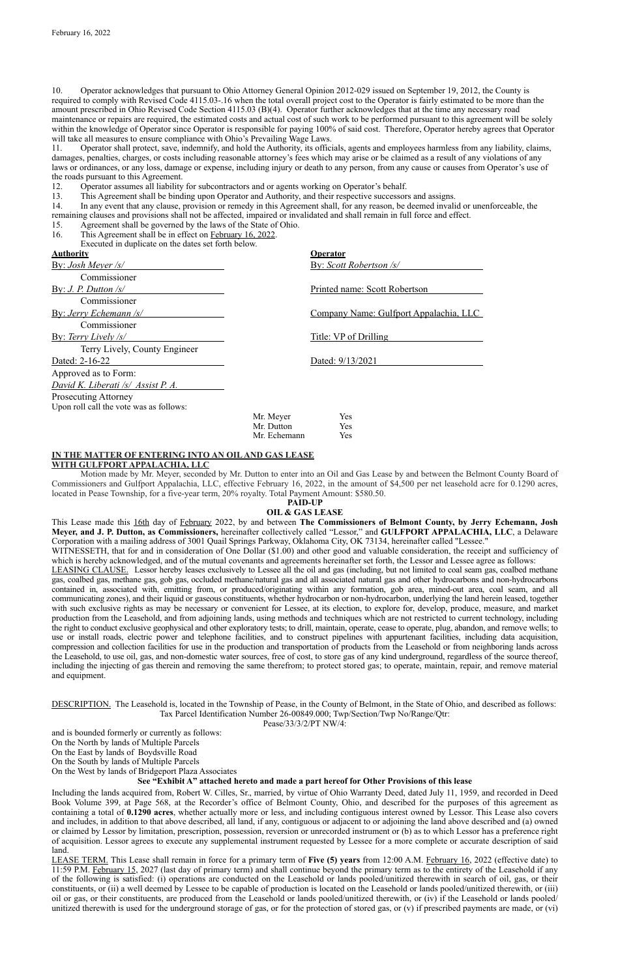10. Operator acknowledges that pursuant to Ohio Attorney General Opinion 2012-029 issued on September 19, 2012, the County is required to comply with Revised Code 4115.03-.16 when the total overall project cost to the Operator is fairly estimated to be more than the amount prescribed in Ohio Revised Code Section 4115.03 (B)(4). Operator further acknowledges that at the time any necessary road maintenance or repairs are required, the estimated costs and actual cost of such work to be performed pursuant to this agreement will be solely within the knowledge of Operator since Operator is responsible for paying 100% of said cost. Therefore, Operator hereby agrees that Operator will take all measures to ensure compliance with Ohio's Prevailing Wage Laws.

11. Operator shall protect, save, indemnify, and hold the Authority, its officials, agents and employees harmless from any liability, claims, damages, penalties, charges, or costs including reasonable attorney's fees which may arise or be claimed as a result of any violations of any laws or ordinances, or any loss, damage or expense, including injury or death to any person, from any cause or causes from Operator's use of the roads pursuant to this Agreement.

12. Operator assumes all liability for subcontractors and or agents working on Operator's behalf.

13. This Agreement shall be binding upon Operator and Authority, and their respective successors and assigns.

14. In any event that any clause, provision or remedy in this Agreement shall, for any reason, be deemed invalid or unenforceable, the remaining clauses and provisions shall not be affected, impaired or invalidated and shall remain in full force and effect.

WITNESSETH, that for and in consideration of One Dollar (\$1.00) and other good and valuable consideration, the receipt and sufficiency of which is hereby acknowledged, and of the mutual covenants and agreements hereinafter set forth, the Lessor and Lessee agree as follows:

15. Agreement shall be governed by the laws of the State of Ohio.

16. This Agreement shall be in effect on February 16, 2022.

Executed in duplicate on the dates set forth below.

| <b>Authority</b>                              |              | <b>Operator</b>                        |
|-----------------------------------------------|--------------|----------------------------------------|
| <u>By: Josh Meyer /s/</u>                     |              | By: Scott Robertson /s/                |
| Commissioner                                  |              |                                        |
| By: <i>J. P. Dutton <math>\sqrt{s}</math></i> |              | Printed name: Scott Robertson          |
| Commissioner                                  |              |                                        |
| By: Jerry Echemann /s/                        |              | Company Name: Gulfport Appalachia, LLC |
| Commissioner                                  |              |                                        |
| By: Terry Lively $\sqrt{s}$                   |              | Title: VP of Drilling                  |
| Terry Lively, County Engineer                 |              |                                        |
| Dated: 2-16-22                                |              | Dated: 9/13/2021                       |
| Approved as to Form:                          |              |                                        |
| David K. Liberati /s/ Assist P. A.            |              |                                        |
| <b>Prosecuting Attorney</b>                   |              |                                        |
| Upon roll call the vote was as follows:       |              |                                        |
|                                               | Mr. Meyer    | Yes                                    |
|                                               | Mr. Dutton   | Yes                                    |
|                                               | Mr. Echemann | Yes                                    |

# **IN THE MATTER OF ENTERING INTO AN OIL AND GAS LEASE**

**WITH GULFPORT APPALACHIA, LLC**

Motion made by Mr. Meyer, seconded by Mr. Dutton to enter into an Oil and Gas Lease by and between the Belmont County Board of Commissioners and Gulfport Appalachia, LLC, effective February 16, 2022, in the amount of \$4,500 per net leasehold acre for 0.1290 acres, located in Pease Township, for a five-year term, 20% royalty. Total Payment Amount: \$580.50.

#### **PAID-UP**

### **OIL & GAS LEASE**

This Lease made this 16th day of February 2022, by and between **The Commissioners of Belmont County, by Jerry Echemann, Josh Meyer, and J. P. Dutton, as Commissioners,** hereinafter collectively called "Lessor," and **GULFPORT APPALACHIA, LLC**, a Delaware Corporation with a mailing address of 3001 Quail Springs Parkway, Oklahoma City, OK 73134, hereinafter called "Lessee."

LEASING CLAUSE. Lessor hereby leases exclusively to Lessee all the oil and gas (including, but not limited to coal seam gas, coalbed methane gas, coalbed gas, methane gas, gob gas, occluded methane/natural gas and all associated natural gas and other hydrocarbons and non-hydrocarbons contained in, associated with, emitting from, or produced/originating within any formation, gob area, mined-out area, coal seam, and all communicating zones), and their liquid or gaseous constituents, whether hydrocarbon or non-hydrocarbon, underlying the land herein leased, together with such exclusive rights as may be necessary or convenient for Lessee, at its election, to explore for, develop, produce, measure, and market production from the Leasehold, and from adjoining lands, using methods and techniques which are not restricted to current technology, including the right to conduct exclusive geophysical and other exploratory tests; to drill, maintain, operate, cease to operate, plug, abandon, and remove wells; to use or install roads, electric power and telephone facilities, and to construct pipelines with appurtenant facilities, including data acquisition, compression and collection facilities for use in the production and transportation of products from the Leasehold or from neighboring lands across the Leasehold, to use oil, gas, and non-domestic water sources, free of cost, to store gas of any kind underground, regardless of the source thereof, including the injecting of gas therein and removing the same therefrom; to protect stored gas; to operate, maintain, repair, and remove material and equipment.

DESCRIPTION. The Leasehold is, located in the Township of Pease, in the County of Belmont, in the State of Ohio, and described as follows: Tax Parcel Identification Number 26-00849.000; Twp/Section/Twp No/Range/Qtr:

#### Pease/33/3/2/PT NW/4:

### and is bounded formerly or currently as follows: On the North by lands of Multiple Parcels On the East by lands of Boydsville Road On the South by lands of Multiple Parcels On the West by lands of Bridgeport Plaza Associates

### **See "Exhibit A" attached hereto and made a part hereof for Other Provisions of this lease**

Including the lands acquired from, Robert W. Cilles, Sr., married, by virtue of Ohio Warranty Deed, dated July 11, 1959, and recorded in Deed Book Volume 399, at Page 568, at the Recorder's office of Belmont County, Ohio, and described for the purposes of this agreement as containing a total of **0.1290 acres**, whether actually more or less, and including contiguous interest owned by Lessor. This Lease also covers and includes, in addition to that above described, all land, if any, contiguous or adjacent to or adjoining the land above described and (a) owned or claimed by Lessor by limitation, prescription, possession, reversion or unrecorded instrument or (b) as to which Lessor has a preference right of acquisition. Lessor agrees to execute any supplemental instrument requested by Lessee for a more complete or accurate description of said land.

LEASE TERM. This Lease shall remain in force for a primary term of **Five (5) years** from 12:00 A.M. February 16, 2022 (effective date) to 11:59 P.M. February 15, 2027 (last day of primary term) and shall continue beyond the primary term as to the entirety of the Leasehold if any of the following is satisfied: (i) operations are conducted on the Leasehold or lands pooled/unitized therewith in search of oil, gas, or their constituents, or (ii) a well deemed by Lessee to be capable of production is located on the Leasehold or lands pooled/unitized therewith, or (iii) oil or gas, or their constituents, are produced from the Leasehold or lands pooled/unitized therewith, or (iv) if the Leasehold or lands pooled/ unitized therewith is used for the underground storage of gas, or for the protection of stored gas, or (v) if prescribed payments are made, or (vi)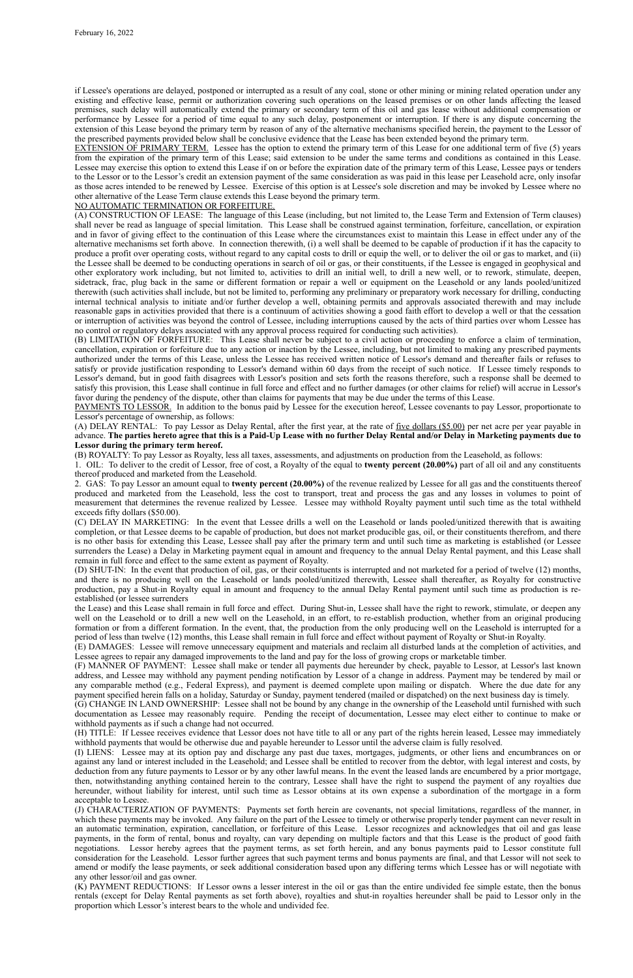if Lessee's operations are delayed, postponed or interrupted as a result of any coal, stone or other mining or mining related operation under any existing and effective lease, permit or authorization covering such operations on the leased premises or on other lands affecting the leased premises, such delay will automatically extend the primary or secondary term of this oil and gas lease without additional compensation or performance by Lessee for a period of time equal to any such delay, postponement or interruption. If there is any dispute concerning the extension of this Lease beyond the primary term by reason of any of the alternative mechanisms specified herein, the payment to the Lessor of the prescribed payments provided below shall be conclusive evidence that the Lease has been extended beyond the primary term.

EXTENSION OF PRIMARY TERM. Lessee has the option to extend the primary term of this Lease for one additional term of five (5) years from the expiration of the primary term of this Lease; said extension to be under the same terms and conditions as contained in this Lease. Lessee may exercise this option to extend this Lease if on or before the expiration date of the primary term of this Lease, Lessee pays or tenders to the Lessor or to the Lessor's credit an extension payment of the same consideration as was paid in this lease per Leasehold acre, only insofar as those acres intended to be renewed by Lessee. Exercise of this option is at Lessee's sole discretion and may be invoked by Lessee where no other alternative of the Lease Term clause extends this Lease beyond the primary term.

#### NO AUTOMATIC TERMINATION OR FORFEITURE.

(A) CONSTRUCTION OF LEASE: The language of this Lease (including, but not limited to, the Lease Term and Extension of Term clauses) shall never be read as language of special limitation. This Lease shall be construed against termination, forfeiture, cancellation, or expiration and in favor of giving effect to the continuation of this Lease where the circumstances exist to maintain this Lease in effect under any of the alternative mechanisms set forth above. In connection therewith, (i) a well shall be deemed to be capable of production if it has the capacity to produce a profit over operating costs, without regard to any capital costs to drill or equip the well, or to deliver the oil or gas to market, and (ii) the Lessee shall be deemed to be conducting operations in search of oil or gas, or their constituents, if the Lessee is engaged in geophysical and other exploratory work including, but not limited to, activities to drill an initial well, to drill a new well, or to rework, stimulate, deepen, sidetrack, frac, plug back in the same or different formation or repair a well or equipment on the Leasehold or any lands pooled/unitized therewith (such activities shall include, but not be limited to, performing any preliminary or preparatory work necessary for drilling, conducting internal technical analysis to initiate and/or further develop a well, obtaining permits and approvals associated therewith and may include reasonable gaps in activities provided that there is a continuum of activities showing a good faith effort to develop a well or that the cessation or interruption of activities was beyond the control of Lessee, including interruptions caused by the acts of third parties over whom Lessee has no control or regulatory delays associated with any approval process required for conducting such activities).

(B) LIMITATION OF FORFEITURE: This Lease shall never be subject to a civil action or proceeding to enforce a claim of termination, cancellation, expiration or forfeiture due to any action or inaction by the Lessee, including, but not limited to making any prescribed payments authorized under the terms of this Lease, unless the Lessee has received written notice of Lessor's demand and thereafter fails or refuses to satisfy or provide justification responding to Lessor's demand within 60 days from the receipt of such notice. If Lessee timely responds to Lessor's demand, but in good faith disagrees with Lessor's position and sets forth the reasons therefore, such a response shall be deemed to satisfy this provision, this Lease shall continue in full force and effect and no further damages (or other claims for relief) will accrue in Lessor's favor during the pendency of the dispute, other than claims for payments that may be due under the terms of this Lease.

PAYMENTS TO LESSOR. In addition to the bonus paid by Lessee for the execution hereof, Lessee covenants to pay Lessor, proportionate to Lessor's percentage of ownership, as follows:

(A) DELAY RENTAL: To pay Lessor as Delay Rental, after the first year, at the rate of five dollars (\$5.00) per net acre per year payable in advance. **The parties hereto agree that this is a Paid-Up Lease with no further Delay Rental and/or Delay in Marketing payments due to Lessor during the primary term hereof.**

(B) ROYALTY: To pay Lessor as Royalty, less all taxes, assessments, and adjustments on production from the Leasehold, as follows:

1. OIL: To deliver to the credit of Lessor, free of cost, a Royalty of the equal to **twenty percent (20.00%)** part of all oil and any constituents thereof produced and marketed from the Leasehold.

2. GAS: To pay Lessor an amount equal to **twenty percent (20.00%)** of the revenue realized by Lessee for all gas and the constituents thereof produced and marketed from the Leasehold, less the cost to transport, treat and process the gas and any losses in volumes to point of measurement that determines the revenue realized by Lessee. Lessee may withhold Royalty payment until such time as the total withheld exceeds fifty dollars (\$50.00).

(C) DELAY IN MARKETING: In the event that Lessee drills a well on the Leasehold or lands pooled/unitized therewith that is awaiting completion, or that Lessee deems to be capable of production, but does not market producible gas, oil, or their constituents therefrom, and there is no other basis for extending this Lease, Lessee shall pay after the primary term and until such time as marketing is established (or Lessee surrenders the Lease) a Delay in Marketing payment equal in amount and frequency to the annual Delay Rental payment, and this Lease shall remain in full force and effect to the same extent as payment of Royalty.

(D) SHUT-IN: In the event that production of oil, gas, or their constituents is interrupted and not marketed for a period of twelve (12) months, and there is no producing well on the Leasehold or lands pooled/unitized therewith, Lessee shall thereafter, as Royalty for constructive production, pay a Shut-in Royalty equal in amount and frequency to the annual Delay Rental payment until such time as production is reestablished (or lessee surrenders

the Lease) and this Lease shall remain in full force and effect. During Shut-in, Lessee shall have the right to rework, stimulate, or deepen any well on the Leasehold or to drill a new well on the Leasehold, in an effort, to re-establish production, whether from an original producing formation or from a different formation. In the event, that, the production from the only producing well on the Leasehold is interrupted for a period of less than twelve (12) months, this Lease shall remain in full force and effect without payment of Royalty or Shut-in Royalty.

(E) DAMAGES: Lessee will remove unnecessary equipment and materials and reclaim all disturbed lands at the completion of activities, and Lessee agrees to repair any damaged improvements to the land and pay for the loss of growing crops or marketable timber.

(F) MANNER OF PAYMENT: Lessee shall make or tender all payments due hereunder by check, payable to Lessor, at Lessor's last known address, and Lessee may withhold any payment pending notification by Lessor of a change in address. Payment may be tendered by mail or any comparable method (e.g., Federal Express), and payment is deemed complete upon mailing or dispatch. Where the due date for any payment specified herein falls on a holiday, Saturday or Sunday, payment tendered (mailed or dispatched) on the next business day is timely.

(G) CHANGE IN LAND OWNERSHIP: Lessee shall not be bound by any change in the ownership of the Leasehold until furnished with such documentation as Lessee may reasonably require. Pending the receipt of documentation, Lessee may elect either to continue to make or withhold payments as if such a change had not occurred.

(H) TITLE: If Lessee receives evidence that Lessor does not have title to all or any part of the rights herein leased, Lessee may immediately withhold payments that would be otherwise due and payable hereunder to Lessor until the adverse claim is fully resolved.

(I) LIENS: Lessee may at its option pay and discharge any past due taxes, mortgages, judgments, or other liens and encumbrances on or against any land or interest included in the Leasehold; and Lessee shall be entitled to recover from the debtor, with legal interest and costs, by deduction from any future payments to Lessor or by any other lawful means. In the event the leased lands are encumbered by a prior mortgage, then, notwithstanding anything contained herein to the contrary, Lessee shall have the right to suspend the payment of any royalties due hereunder, without liability for interest, until such time as Lessor obtains at its own expense a subordination of the mortgage in a form acceptable to Lessee.

(J) CHARACTERIZATION OF PAYMENTS: Payments set forth herein are covenants, not special limitations, regardless of the manner, in which these payments may be invoked. Any failure on the part of the Lessee to timely or otherwise properly tender payment can never result in an automatic termination, expiration, cancellation, or forfeiture of this Lease. Lessor recognizes and acknowledges that oil and gas lease payments, in the form of rental, bonus and royalty, can vary depending on multiple factors and that this Lease is the product of good faith negotiations. Lessor hereby agrees that the payment terms, as set forth herein, and any bonus payments paid to Lessor constitute full consideration for the Leasehold. Lessor further agrees that such payment terms and bonus payments are final, and that Lessor will not seek to amend or modify the lease payments, or seek additional consideration based upon any differing terms which Lessee has or will negotiate with any other lessor/oil and gas owner.

(K) PAYMENT REDUCTIONS: If Lessor owns a lesser interest in the oil or gas than the entire undivided fee simple estate, then the bonus rentals (except for Delay Rental payments as set forth above), royalties and shut-in royalties hereunder shall be paid to Lessor only in the proportion which Lessor's interest bears to the whole and undivided fee.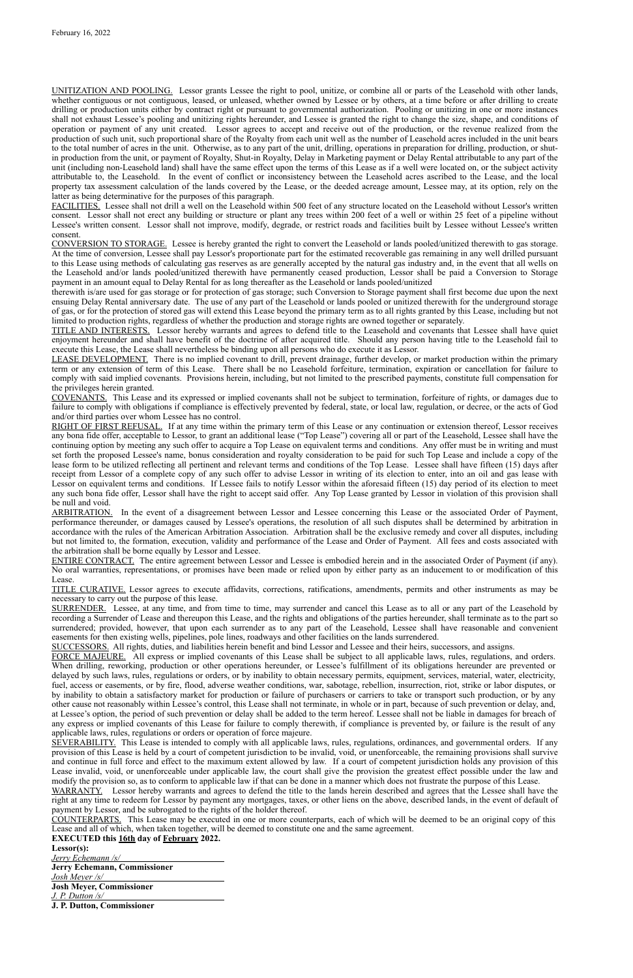UNITIZATION AND POOLING. Lessor grants Lessee the right to pool, unitize, or combine all or parts of the Leasehold with other lands, whether contiguous or not contiguous, leased, or unleased, whether owned by Lessee or by others, at a time before or after drilling to create drilling or production units either by contract right or pursuant to governmental authorization. Pooling or unitizing in one or more instances shall not exhaust Lessee's pooling and unitizing rights hereunder, and Lessee is granted the right to change the size, shape, and conditions of operation or payment of any unit created. Lessor agrees to accept and receive out of the production, or the revenue realized from the production of such unit, such proportional share of the Royalty from each unit well as the number of Leasehold acres included in the unit bears to the total number of acres in the unit. Otherwise, as to any part of the unit, drilling, operations in preparation for drilling, production, or shutin production from the unit, or payment of Royalty, Shut-in Royalty, Delay in Marketing payment or Delay Rental attributable to any part of the unit (including non-Leasehold land) shall have the same effect upon the terms of this Lease as if a well were located on, or the subject activity attributable to, the Leasehold. In the event of conflict or inconsistency between the Leasehold acres ascribed to the Lease, and the local property tax assessment calculation of the lands covered by the Lease, or the deeded acreage amount, Lessee may, at its option, rely on the latter as being determinative for the purposes of this paragraph.

FACILITIES. Lessee shall not drill a well on the Leasehold within 500 feet of any structure located on the Leasehold without Lessor's written consent. Lessor shall not erect any building or structure or plant any trees within 200 feet of a well or within 25 feet of a pipeline without Lessee's written consent. Lessor shall not improve, modify, degrade, or restrict roads and facilities built by Lessee without Lessee's written consent.

CONVERSION TO STORAGE. Lessee is hereby granted the right to convert the Leasehold or lands pooled/unitized therewith to gas storage. At the time of conversion, Lessee shall pay Lessor's proportionate part for the estimated recoverable gas remaining in any well drilled pursuant to this Lease using methods of calculating gas reserves as are generally accepted by the natural gas industry and, in the event that all wells on the Leasehold and/or lands pooled/unitized therewith have permanently ceased production, Lessor shall be paid a Conversion to Storage payment in an amount equal to Delay Rental for as long thereafter as the Leasehold or lands pooled/unitized

therewith is/are used for gas storage or for protection of gas storage; such Conversion to Storage payment shall first become due upon the next ensuing Delay Rental anniversary date. The use of any part of the Leasehold or lands pooled or unitized therewith for the underground storage of gas, or for the protection of stored gas will extend this Lease beyond the primary term as to all rights granted by this Lease, including but not limited to production rights, regardless of whether the production and storage rights are owned together or separately.

TITLE AND INTERESTS. Lessor hereby warrants and agrees to defend title to the Leasehold and covenants that Lessee shall have quiet enjoyment hereunder and shall have benefit of the doctrine of after acquired title. Should any person having title to the Leasehold fail to execute this Lease, the Lease shall nevertheless be binding upon all persons who do execute it as Lessor.

LEASE DEVELOPMENT. There is no implied covenant to drill, prevent drainage, further develop, or market production within the primary term or any extension of term of this Lease. There shall be no Leasehold forfeiture, termination, expiration or cancellation for failure to comply with said implied covenants. Provisions herein, including, but not limited to the prescribed payments, constitute full compensation for the privileges herein granted.

COVENANTS. This Lease and its expressed or implied covenants shall not be subject to termination, forfeiture of rights, or damages due to failure to comply with obligations if compliance is effectively prevented by federal, state, or local law, regulation, or decree, or the acts of God and/or third parties over whom Lessee has no control.

RIGHT OF FIRST REFUSAL. If at any time within the primary term of this Lease or any continuation or extension thereof, Lessor receives any bona fide offer, acceptable to Lessor, to grant an additional lease ("Top Lease") covering all or part of the Leasehold, Lessee shall have the continuing option by meeting any such offer to acquire a Top Lease on equivalent terms and conditions. Any offer must be in writing and must set forth the proposed Lessee's name, bonus consideration and royalty consideration to be paid for such Top Lease and include a copy of the lease form to be utilized reflecting all pertinent and relevant terms and conditions of the Top Lease. Lessee shall have fifteen (15) days after receipt from Lessor of a complete copy of any such offer to advise Lessor in writing of its election to enter, into an oil and gas lease with Lessor on equivalent terms and conditions. If Lessee fails to notify Lessor within the aforesaid fifteen (15) day period of its election to meet any such bona fide offer, Lessor shall have the right to accept said offer. Any Top Lease granted by Lessor in violation of this provision shall be null and void.

ARBITRATION. In the event of a disagreement between Lessor and Lessee concerning this Lease or the associated Order of Payment, performance thereunder, or damages caused by Lessee's operations, the resolution of all such disputes shall be determined by arbitration in accordance with the rules of the American Arbitration Association. Arbitration shall be the exclusive remedy and cover all disputes, including but not limited to, the formation, execution, validity and performance of the Lease and Order of Payment. All fees and costs associated with the arbitration shall be borne equally by Lessor and Lessee.

ENTIRE CONTRACT. The entire agreement between Lessor and Lessee is embodied herein and in the associated Order of Payment (if any). No oral warranties, representations, or promises have been made or relied upon by either party as an inducement to or modification of this Lease.

TITLE CURATIVE. Lessor agrees to execute affidavits, corrections, ratifications, amendments, permits and other instruments as may be necessary to carry out the purpose of this lease.

SURRENDER. Lessee, at any time, and from time to time, may surrender and cancel this Lease as to all or any part of the Leasehold by recording a Surrender of Lease and thereupon this Lease, and the rights and obligations of the parties hereunder, shall terminate as to the part so surrendered; provided, however, that upon each surrender as to any part of the Leasehold, Lessee shall have reasonable and convenient easements for then existing wells, pipelines, pole lines, roadways and other facilities on the lands surrendered.

SUCCESSORS. All rights, duties, and liabilities herein benefit and bind Lessor and Lessee and their heirs, successors, and assigns.

FORCE MAJEURE. All express or implied covenants of this Lease shall be subject to all applicable laws, rules, regulations, and orders. When drilling, reworking, production or other operations hereunder, or Lessee's fulfillment of its obligations hereunder are prevented or delayed by such laws, rules, regulations or orders, or by inability to obtain necessary permits, equipment, services, material, water, electricity, fuel, access or easements, or by fire, flood, adverse weather conditions, war, sabotage, rebellion, insurrection, riot, strike or labor disputes, or by inability to obtain a satisfactory market for production or failure of purchasers or carriers to take or transport such production, or by any other cause not reasonably within Lessee's control, this Lease shall not terminate, in whole or in part, because of such prevention or delay, and, at Lessee's option, the period of such prevention or delay shall be added to the term hereof. Lessee shall not be liable in damages for breach of

any express or implied covenants of this Lease for failure to comply therewith, if compliance is prevented by, or failure is the result of any applicable laws, rules, regulations or orders or operation of force majeure.

SEVERABILITY. This Lease is intended to comply with all applicable laws, rules, regulations, ordinances, and governmental orders. If any provision of this Lease is held by a court of competent jurisdiction to be invalid, void, or unenforceable, the remaining provisions shall survive and continue in full force and effect to the maximum extent allowed by law. If a court of competent jurisdiction holds any provision of this Lease invalid, void, or unenforceable under applicable law, the court shall give the provision the greatest effect possible under the law and modify the provision so, as to conform to applicable law if that can be done in a manner which does not frustrate the purpose of this Lease.

WARRANTY. Lessor hereby warrants and agrees to defend the title to the lands herein described and agrees that the Lessee shall have the right at any time to redeem for Lessor by payment any mortgages, taxes, or other liens on the above, described lands, in the event of default of payment by Lessor, and be subrogated to the rights of the holder thereof.

COUNTERPARTS. This Lease may be executed in one or more counterparts, each of which will be deemed to be an original copy of this Lease and all of which, when taken together, will be deemed to constitute one and the same agreement.

## **EXECUTED this 16th day of February 2022.**

**Lessor(s):**

*Jerry Echemann /s/* 

**Jerry Echemann, Commissioner**

*Josh Meyer /s/*

**Josh Meyer, Commissioner**

*J. P. Dutton /s/*

**J. P. Dutton, Commissioner**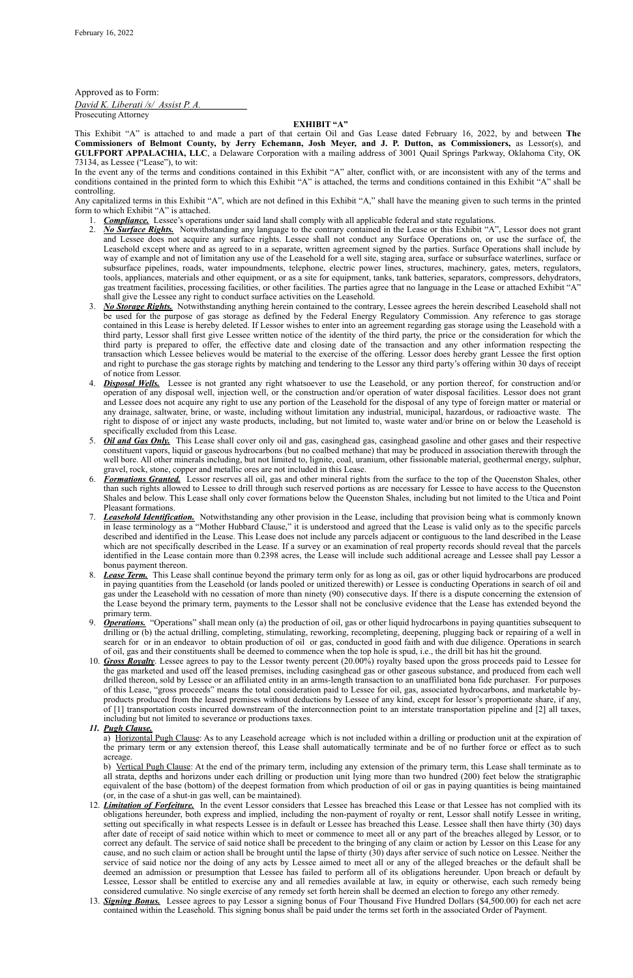Approved as to Form:

*David K. Liberati /s/ Assist P. A.* Prosecuting Attorney

### **EXHIBIT "A"**

This Exhibit "A" is attached to and made a part of that certain Oil and Gas Lease dated February 16, 2022, by and between **The Commissioners of Belmont County, by Jerry Echemann, Josh Meyer, and J. P. Dutton, as Commissioners,** as Lessor(s), and **GULFPORT APPALACHIA, LLC**, a Delaware Corporation with a mailing address of 3001 Quail Springs Parkway, Oklahoma City, OK 73134, as Lessee ("Lease"), to wit:

In the event any of the terms and conditions contained in this Exhibit "A" alter, conflict with, or are inconsistent with any of the terms and conditions contained in the printed form to which this Exhibit "A" is attached, the terms and conditions contained in this Exhibit "A" shall be controlling.

Any capitalized terms in this Exhibit "A", which are not defined in this Exhibit "A," shall have the meaning given to such terms in the printed form to which Exhibit "A" is attached.

- 1. *Compliance.* Lessee's operations under said land shall comply with all applicable federal and state regulations.
- 2. *No Surface Rights.* Notwithstanding any language to the contrary contained in the Lease or this Exhibit "A", Lessor does not grant and Lessee does not acquire any surface rights. Lessee shall not conduct any Surface Operations on, or use the surface of, the Leasehold except where and as agreed to in a separate, written agreement signed by the parties. Surface Operations shall include by way of example and not of limitation any use of the Leasehold for a well site, staging area, surface or subsurface waterlines, surface or subsurface pipelines, roads, water impoundments, telephone, electric power lines, structures, machinery, gates, meters, regulators, tools, appliances, materials and other equipment, or as a site for equipment, tanks, tank batteries, separators, compressors, dehydrators, gas treatment facilities, processing facilities, or other facilities. The parties agree that no language in the Lease or attached Exhibit "A" shall give the Lessee any right to conduct surface activities on the Leasehold.
- 3. *No Storage Rights.* Notwithstanding anything herein contained to the contrary, Lessee agrees the herein described Leasehold shall not be used for the purpose of gas storage as defined by the Federal Energy Regulatory Commission. Any reference to gas storage contained in this Lease is hereby deleted. If Lessor wishes to enter into an agreement regarding gas storage using the Leasehold with a third party, Lessor shall first give Lessee written notice of the identity of the third party, the price or the consideration for which the third party is prepared to offer, the effective date and closing date of the transaction and any other information respecting the transaction which Lessee believes would be material to the exercise of the offering. Lessor does hereby grant Lessee the first option and right to purchase the gas storage rights by matching and tendering to the Lessor any third party's offering within 30 days of receipt of notice from Lessor.
- 4. *Disposal Wells.* Lessee is not granted any right whatsoever to use the Leasehold, or any portion thereof, for construction and/or operation of any disposal well, injection well, or the construction and/or operation of water disposal facilities. Lessor does not grant and Lessee does not acquire any right to use any portion of the Leasehold for the disposal of any type of foreign matter or material or any drainage, saltwater, brine, or waste, including without limitation any industrial, municipal, hazardous, or radioactive waste. The right to dispose of or inject any waste products, including, but not limited to, waste water and/or brine on or below the Leasehold is specifically excluded from this Lease.
- 5. *Oil and Gas Only.* This Lease shall cover only oil and gas, casinghead gas, casinghead gasoline and other gases and their respective constituent vapors, liquid or gaseous hydrocarbons (but no coalbed methane) that may be produced in association therewith through the well bore. All other minerals including, but not limited to, lignite, coal, uranium, other fissionable material, geothermal energy, sulphur, gravel, rock, stone, copper and metallic ores are not included in this Lease.
- 6. *Formations Granted.* Lessor reserves all oil, gas and other mineral rights from the surface to the top of the Queenston Shales, other than such rights allowed to Lessee to drill through such reserved portions as are necessary for Lessee to have access to the Queenston Shales and below. This Lease shall only cover formations below the Queenston Shales, including but not limited to the Utica and Point Pleasant formations.
- 7. *Leasehold Identification.* Notwithstanding any other provision in the Lease, including that provision being what is commonly known in lease terminology as a "Mother Hubbard Clause," it is understood and agreed that the Lease is valid only as to the specific parcels described and identified in the Lease. This Lease does not include any parcels adjacent or contiguous to the land described in the Lease which are not specifically described in the Lease. If a survey or an examination of real property records should reveal that the parcels identified in the Lease contain more than 0.2398 acres, the Lease will include such additional acreage and Lessee shall pay Lessor a bonus payment thereon.
- 8. *Lease Term.* This Lease shall continue beyond the primary term only for as long as oil, gas or other liquid hydrocarbons are produced in paying quantities from the Leasehold (or lands pooled or unitized therewith) or Lessee is conducting Operations in search of oil and gas under the Leasehold with no cessation of more than ninety (90) consecutive days. If there is a dispute concerning the extension of the Lease beyond the primary term, payments to the Lessor shall not be conclusive evidence that the Lease has extended beyond the primary term.
- 9. *Operations.* "Operations" shall mean only (a) the production of oil, gas or other liquid hydrocarbons in paying quantities subsequent to drilling or (b) the actual drilling, completing, stimulating, reworking, recompleting, deepening, plugging back or repairing of a well in search for or in an endeavor to obtain production of oil or gas, conducted in good faith and with due diligence. Operations in search of oil, gas and their constituents shall be deemed to commence when the top hole is spud, i.e., the drill bit has hit the ground.
- 10. *Gross Royalty*. Lessee agrees to pay to the Lessor twenty percent (20.00%) royalty based upon the gross proceeds paid to Lessee for the gas marketed and used off the leased premises, including casinghead gas or other gaseous substance, and produced from each well drilled thereon, sold by Lessee or an affiliated entity in an arms-length transaction to an unaffiliated bona fide purchaser. For purposes of this Lease, "gross proceeds" means the total consideration paid to Lessee for oil, gas, associated hydrocarbons, and marketable byproducts produced from the leased premises without deductions by Lessee of any kind, except for lessor's proportionate share, if any, of [1] transportation costs incurred downstream of the interconnection point to an interstate transportation pipeline and [2] all taxes, including but not limited to severance or productions taxes.

*11. Pugh Clause.*

a) Horizontal Pugh Clause: As to any Leasehold acreage which is not included within a drilling or production unit at the expiration of the primary term or any extension thereof, this Lease shall automatically terminate and be of no further force or effect as to such acreage.

b) Vertical Pugh Clause: At the end of the primary term, including any extension of the primary term, this Lease shall terminate as to all strata, depths and horizons under each drilling or production unit lying more than two hundred (200) feet below the stratigraphic equivalent of the base (bottom) of the deepest formation from which production of oil or gas in paying quantities is being maintained (or, in the case of a shut-in gas well, can be maintained).

- 12. *Limitation of Forfeiture.* In the event Lessor considers that Lessee has breached this Lease or that Lessee has not complied with its obligations hereunder, both express and implied, including the non-payment of royalty or rent, Lessor shall notify Lessee in writing, setting out specifically in what respects Lessee is in default or Lessee has breached this Lease. Lessee shall then have thirty (30) days after date of receipt of said notice within which to meet or commence to meet all or any part of the breaches alleged by Lessor, or to correct any default. The service of said notice shall be precedent to the bringing of any claim or action by Lessor on this Lease for any cause, and no such claim or action shall be brought until the lapse of thirty (30) days after service of such notice on Lessee. Neither the service of said notice nor the doing of any acts by Lessee aimed to meet all or any of the alleged breaches or the default shall be deemed an admission or presumption that Lessee has failed to perform all of its obligations hereunder. Upon breach or default by Lessee, Lessor shall be entitled to exercise any and all remedies available at law, in equity or otherwise, each such remedy being considered cumulative. No single exercise of any remedy set forth herein shall be deemed an election to forego any other remedy.
- 13. *Signing Bonus.* Lessee agrees to pay Lessor a signing bonus of Four Thousand Five Hundred Dollars (\$4,500.00) for each net acre contained within the Leasehold. This signing bonus shall be paid under the terms set forth in the associated Order of Payment.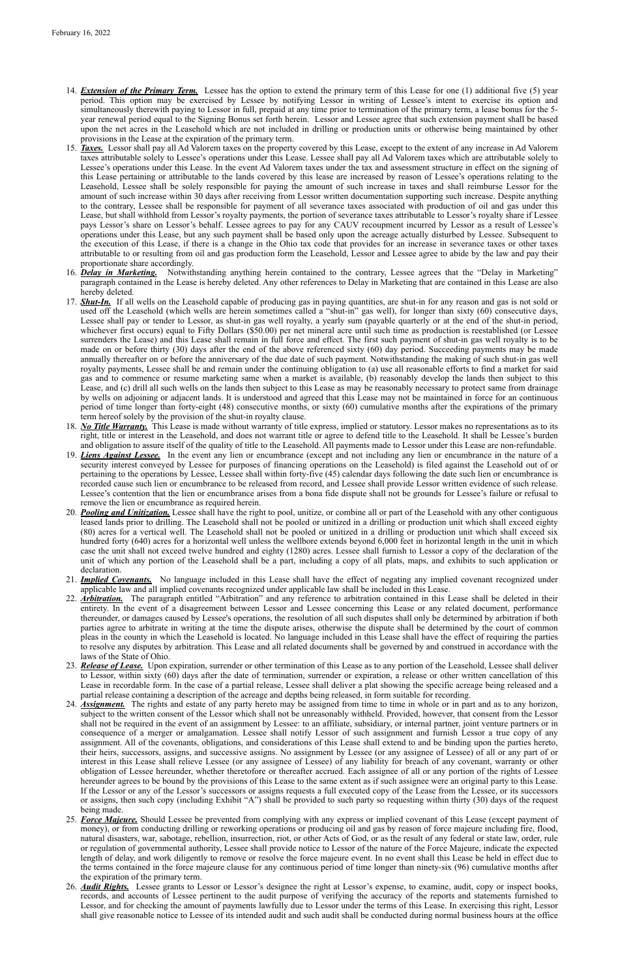- 14. *Extension of the Primary Term.* Lessee has the option to extend the primary term of this Lease for one (1) additional five (5) year period. This option may be exercised by Lessee by notifying Lessor in writing of Lessee's intent to exercise its option and simultaneously therewith paying to Lessor in full, prepaid at any time prior to termination of the primary term, a lease bonus for the 5 year renewal period equal to the Signing Bonus set forth herein. Lessor and Lessee agree that such extension payment shall be based upon the net acres in the Leasehold which are not included in drilling or production units or otherwise being maintained by other provisions in the Lease at the expiration of the primary term.
- 15. *Taxes.* Lessor shall pay all Ad Valorem taxes on the property covered by this Lease, except to the extent of any increase in Ad Valorem taxes attributable solely to Lessee's operations under this Lease. Lessee shall pay all Ad Valorem taxes which are attributable solely to Lessee's operations under this Lease. In the event Ad Valorem taxes under the tax and assessment structure in effect on the signing of this Lease pertaining or attributable to the lands covered by this lease are increased by reason of Lessee's operations relating to the Leasehold, Lessee shall be solely responsible for paying the amount of such increase in taxes and shall reimburse Lessor for the amount of such increase within 30 days after receiving from Lessor written documentation supporting such increase. Despite anything to the contrary, Lessee shall be responsible for payment of all severance taxes associated with production of oil and gas under this Lease, but shall withhold from Lessor's royalty payments, the portion of severance taxes attributable to Lessor's royalty share if Lessee pays Lessor's share on Lessor's behalf. Lessee agrees to pay for any CAUV recoupment incurred by Lessor as a result of Lessee's operations under this Lease, but any such payment shall be based only upon the acreage actually disturbed by Lessee. Subsequent to the execution of this Lease, if there is a change in the Ohio tax code that provides for an increase in severance taxes or other taxes attributable to or resulting from oil and gas production form the Leasehold, Lessor and Lessee agree to abide by the law and pay their proportionate share accordingly.
- 16. *Delay in Marketing.* Notwithstanding anything herein contained to the contrary, Lessee agrees that the "Delay in Marketing" paragraph contained in the Lease is hereby deleted. Any other references to Delay in Marketing that are contained in this Lease are also hereby deleted.
- 17. *Shut-In.* If all wells on the Leasehold capable of producing gas in paying quantities, are shut-in for any reason and gas is not sold or used off the Leasehold (which wells are herein sometimes called a "shut-in" gas well), for longer than sixty (60) consecutive days, Lessee shall pay or tender to Lessor, as shut-in gas well royalty, a yearly sum (payable quarterly or at the end of the shut-in period, whichever first occurs) equal to Fifty Dollars (\$50.00) per net mineral acre until such time as production is reestablished (or Lessee surrenders the Lease) and this Lease shall remain in full force and effect. The first such payment of shut-in gas well royalty is to be made on or before thirty (30) days after the end of the above referenced sixty (60) day period. Succeeding payments may be made annually thereafter on or before the anniversary of the due date of such payment. Notwithstanding the making of such shut-in gas well royalty payments, Lessee shall be and remain under the continuing obligation to (a) use all reasonable efforts to find a market for said gas and to commence or resume marketing same when a market is available, (b) reasonably develop the lands then subject to this Lease, and (c) drill all such wells on the lands then subject to this Lease as may be reasonably necessary to protect same from drainage by wells on adjoining or adjacent lands. It is understood and agreed that this Lease may not be maintained in force for an continuous period of time longer than forty-eight (48) consecutive months, or sixty (60) cumulative months after the expirations of the primary term hereof solely by the provision of the shut-in royalty clause.
- 18. *No Title Warranty.* This Lease is made without warranty of title express, implied or statutory. Lessor makes no representations as to its right, title or interest in the Leasehold, and does not warrant title or agree to defend title to the Leasehold. It shall be Lessee's burden and obligation to assure itself of the quality of title to the Leasehold. All payments made to Lessor under this Lease are non-refundable.
- 19. *Liens Against Lessee.* In the event any lien or encumbrance (except and not including any lien or encumbrance in the nature of a security interest conveyed by Lessee for purposes of financing operations on the Leasehold) is filed against the Leasehold out of or pertaining to the operations by Lessee, Lessee shall within forty-five (45) calendar days following the date such lien or encumbrance is recorded cause such lien or encumbrance to be released from record, and Lessee shall provide Lessor written evidence of such release. Lessee's contention that the lien or encumbrance arises from a bona fide dispute shall not be grounds for Lessee's failure or refusal to remove the lien or encumbrance as required herein.
- 20. *Pooling and Unitization.* Lessee shall have the right to pool, unitize, or combine all or part of the Leasehold with any other contiguous leased lands prior to drilling. The Leasehold shall not be pooled or unitized in a drilling or production unit which shall exceed eighty (80) acres for a vertical well. The Leasehold shall not be pooled or unitized in a drilling or production unit which shall exceed six hundred forty (640) acres for a horizontal well unless the wellbore extends beyond 6,000 feet in horizontal length in the unit in which case the unit shall not exceed twelve hundred and eighty (1280) acres. Lessee shall furnish to Lessor a copy of the declaration of the unit of which any portion of the Leasehold shall be a part, including a copy of all plats, maps, and exhibits to such application or declaration.
- 21. *Implied Covenants.* No language included in this Lease shall have the effect of negating any implied covenant recognized under applicable law and all implied covenants recognized under applicable law shall be included in this Lease.
- 22. *Arbitration.* The paragraph entitled "Arbitration" and any reference to arbitration contained in this Lease shall be deleted in their entirety. In the event of a disagreement between Lessor and Lessee concerning this Lease or any related document, performance thereunder, or damages caused by Lessee's operations, the resolution of all such disputes shall only be determined by arbitration if both parties agree to arbitrate in writing at the time the dispute arises, otherwise the dispute shall be determined by the court of common pleas in the county in which the Leasehold is located. No language included in this Lease shall have the effect of requiring the parties to resolve any disputes by arbitration. This Lease and all related documents shall be governed by and construed in accordance with the laws of the State of Ohio.
- 23. *Release of Lease.* Upon expiration, surrender or other termination of this Lease as to any portion of the Leasehold, Lessee shall deliver to Lessor, within sixty (60) days after the date of termination, surrender or expiration, a release or other written cancellation of this Lease in recordable form. In the case of a partial release, Lessee shall deliver a plat showing the specific acreage being released and a partial release containing a description of the acreage and depths being released, in form suitable for recording.
- 24. *Assignment.* The rights and estate of any party hereto may be assigned from time to time in whole or in part and as to any horizon, subject to the written consent of the Lessor which shall not be unreasonably withheld. Provided, however, that consent from the Lessor shall not be required in the event of an assignment by Lessee: to an affiliate, subsidiary, or internal partner, joint venture partners or in consequence of a merger or amalgamation. Lessee shall notify Lessor of such assignment and furnish Lessor a true copy of any assignment. All of the covenants, obligations, and considerations of this Lease shall extend to and be binding upon the parties hereto, their heirs, successors, assigns, and successive assigns. No assignment by Lessee (or any assignee of Lessee) of all or any part of or interest in this Lease shall relieve Lessee (or any assignee of Lessee) of any liability for breach of any covenant, warranty or other obligation of Lessee hereunder, whether theretofore or thereafter accrued. Each assignee of all or any portion of the rights of Lessee hereunder agrees to be bound by the provisions of this Lease to the same extent as if such assignee were an original party to this Lease. If the Lessor or any of the Lessor's successors or assigns requests a full executed copy of the Lease from the Lessee, or its successors or assigns, then such copy (including Exhibit "A") shall be provided to such party so requesting within thirty (30) days of the request being made. 25. *Force Majeure.* Should Lessee be prevented from complying with any express or implied covenant of this Lease (except payment of money), or from conducting drilling or reworking operations or producing oil and gas by reason of force majeure including fire, flood, natural disasters, war, sabotage, rebellion, insurrection, riot, or other Acts of God, or as the result of any federal or state law, order, rule or regulation of governmental authority, Lessee shall provide notice to Lessor of the nature of the Force Majeure, indicate the expected length of delay, and work diligently to remove or resolve the force majeure event. In no event shall this Lease be held in effect due to the terms contained in the force majeure clause for any continuous period of time longer than ninety-six (96) cumulative months after the expiration of the primary term. 26. *Audit Rights.* Lessee grants to Lessor or Lessor's designee the right at Lessor's expense, to examine, audit, copy or inspect books, records, and accounts of Lessee pertinent to the audit purpose of verifying the accuracy of the reports and statements furnished to Lessor, and for checking the amount of payments lawfully due to Lessor under the terms of this Lease. In exercising this right, Lessor shall give reasonable notice to Lessee of its intended audit and such audit shall be conducted during normal business hours at the office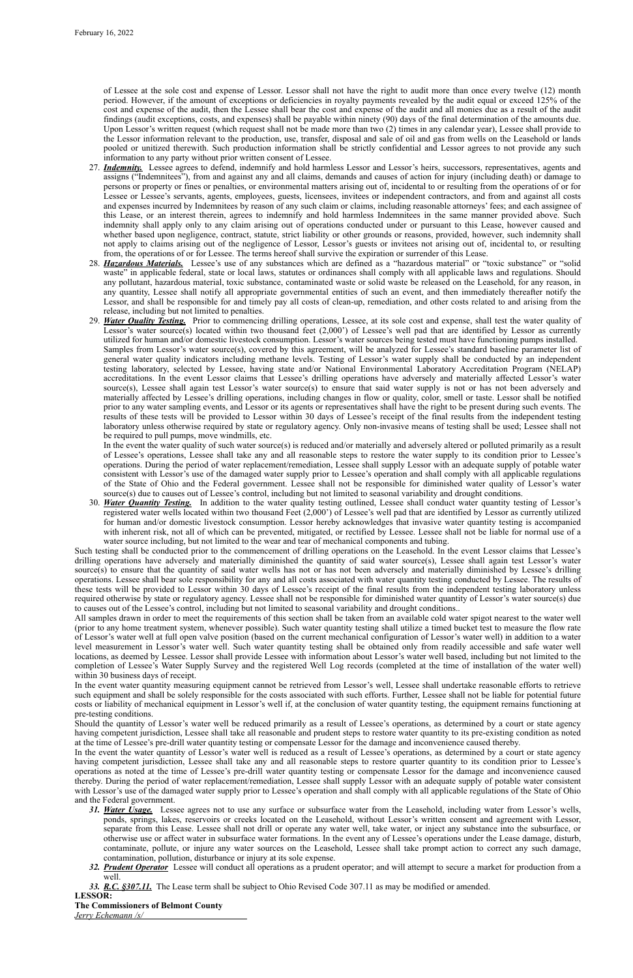of Lessee at the sole cost and expense of Lessor. Lessor shall not have the right to audit more than once every twelve (12) month period. However, if the amount of exceptions or deficiencies in royalty payments revealed by the audit equal or exceed 125% of the cost and expense of the audit, then the Lessee shall bear the cost and expense of the audit and all monies due as a result of the audit findings (audit exceptions, costs, and expenses) shall be payable within ninety (90) days of the final determination of the amounts due. Upon Lessor's written request (which request shall not be made more than two (2) times in any calendar year), Lessee shall provide to the Lessor information relevant to the production, use, transfer, disposal and sale of oil and gas from wells on the Leasehold or lands pooled or unitized therewith. Such production information shall be strictly confidential and Lessor agrees to not provide any such information to any party without prior written consent of Lessee.

- 27. *Indemnity.* Lessee agrees to defend, indemnify and hold harmless Lessor and Lessor's heirs, successors, representatives, agents and assigns ("Indemnitees"), from and against any and all claims, demands and causes of action for injury (including death) or damage to persons or property or fines or penalties, or environmental matters arising out of, incidental to or resulting from the operations of or for Lessee or Lessee's servants, agents, employees, guests, licensees, invitees or independent contractors, and from and against all costs and expenses incurred by Indemnitees by reason of any such claim or claims, including reasonable attorneys' fees; and each assignee of this Lease, or an interest therein, agrees to indemnify and hold harmless Indemnitees in the same manner provided above. Such indemnity shall apply only to any claim arising out of operations conducted under or pursuant to this Lease, however caused and whether based upon negligence, contract, statute, strict liability or other grounds or reasons, provided, however, such indemnity shall not apply to claims arising out of the negligence of Lessor, Lessor's guests or invitees not arising out of, incidental to, or resulting from, the operations of or for Lessee. The terms hereof shall survive the expiration or surrender of this Lease.
- 28. *Hazardous Materials.* Lessee's use of any substances which are defined as a "hazardous material" or "toxic substance" or "solid waste" in applicable federal, state or local laws, statutes or ordinances shall comply with all applicable laws and regulations. Should any pollutant, hazardous material, toxic substance, contaminated waste or solid waste be released on the Leasehold, for any reason, in any quantity, Lessee shall notify all appropriate governmental entities of such an event, and then immediately thereafter notify the Lessor, and shall be responsible for and timely pay all costs of clean-up, remediation, and other costs related to and arising from the release, including but not limited to penalties.
- 29. *Water Quality Testing.* Prior to commencing drilling operations, Lessee, at its sole cost and expense, shall test the water quality of Lessor's water source(s) located within two thousand feet (2,000') of Lessee's well pad that are identified by Lessor as currently utilized for human and/or domestic livestock consumption. Lessor's water sources being tested must have functioning pumps installed. Samples from Lessor's water source(s), covered by this agreement, will be analyzed for Lessee's standard baseline parameter list of general water quality indicators including methane levels. Testing of Lessor's water supply shall be conducted by an independent testing laboratory, selected by Lessee, having state and/or National Environmental Laboratory Accreditation Program (NELAP) accreditations. In the event Lessor claims that Lessee's drilling operations have adversely and materially affected Lessor's water source(s), Lessee shall again test Lessor's water source(s) to ensure that said water supply is not or has not been adversely and materially affected by Lessee's drilling operations, including changes in flow or quality, color, smell or taste. Lessor shall be notified prior to any water sampling events, and Lessor or its agents or representatives shall have the right to be present during such events. The results of these tests will be provided to Lessor within 30 days of Lessee's receipt of the final results from the independent testing laboratory unless otherwise required by state or regulatory agency. Only non-invasive means of testing shall be used; Lessee shall not be required to pull pumps, move windmills, etc.

In the event the water quality of such water source(s) is reduced and/or materially and adversely altered or polluted primarily as a result of Lessee's operations, Lessee shall take any and all reasonable steps to restore the water supply to its condition prior to Lessee's operations. During the period of water replacement/remediation, Lessee shall supply Lessor with an adequate supply of potable water consistent with Lessor's use of the damaged water supply prior to Lessee's operation and shall comply with all applicable regulations of the State of Ohio and the Federal government. Lessee shall not be responsible for diminished water quality of Lessor's water source(s) due to causes out of Lessee's control, including but not limited to seasonal variability and drought conditions.

30. *Water Quantity Testing.* In addition to the water quality testing outlined, Lessee shall conduct water quantity testing of Lessor's registered water wells located within two thousand Feet (2,000') of Lessee's well pad that are identified by Lessor as currently utilized for human and/or domestic livestock consumption. Lessor hereby acknowledges that invasive water quantity testing is accompanied with inherent risk, not all of which can be prevented, mitigated, or rectified by Lessee. Lessee shall not be liable for normal use of a water source including, but not limited to the wear and tear of mechanical components and tubing.

Such testing shall be conducted prior to the commencement of drilling operations on the Leasehold. In the event Lessor claims that Lessee's drilling operations have adversely and materially diminished the quantity of said water source(s), Lessee shall again test Lessor's water source(s) to ensure that the quantity of said water wells has not or has not been adversely and materially diminished by Lessee's drilling operations. Lessee shall bear sole responsibility for any and all costs associated with water quantity testing conducted by Lessee. The results of these tests will be provided to Lessor within 30 days of Lessee's receipt of the final results from the independent testing laboratory unless required otherwise by state or regulatory agency. Lessee shall not be responsible for diminished water quantity of Lessor's water source(s) due to causes out of the Lessee's control, including but not limited to seasonal variability and drought conditions..

All samples drawn in order to meet the requirements of this section shall be taken from an available cold water spigot nearest to the water well (prior to any home treatment system, whenever possible). Such water quantity testing shall utilize a timed bucket test to measure the flow rate of Lessor's water well at full open valve position (based on the current mechanical configuration of Lessor's water well) in addition to a water level measurement in Lessor's water well. Such water quantity testing shall be obtained only from readily accessible and safe water well locations, as deemed by Lessee. Lessor shall provide Lessee with information about Lessor's water well based, including but not limited to the completion of Lessee's Water Supply Survey and the registered Well Log records (completed at the time of installation of the water well) within 30 business days of receipt.

In the event water quantity measuring equipment cannot be retrieved from Lessor's well, Lessee shall undertake reasonable efforts to retrieve such equipment and shall be solely responsible for the costs associated with such efforts. Further, Lessee shall not be liable for potential future costs or liability of mechanical equipment in Lessor's well if, at the conclusion of water quantity testing, the equipment remains functioning at pre-testing conditions. Should the quantity of Lessor's water well be reduced primarily as a result of Lessee's operations, as determined by a court or state agency having competent jurisdiction, Lessee shall take all reasonable and prudent steps to restore water quantity to its pre-existing condition as noted at the time of Lessee's pre-drill water quantity testing or compensate Lessor for the damage and inconvenience caused thereby. In the event the water quantity of Lessor's water well is reduced as a result of Lessee's operations, as determined by a court or state agency having competent jurisdiction, Lessee shall take any and all reasonable steps to restore quarter quantity to its condition prior to Lessee's operations as noted at the time of Lessee's pre-drill water quantity testing or compensate Lessor for the damage and inconvenience caused thereby. During the period of water replacement/remediation, Lessee shall supply Lessor with an adequate supply of potable water consistent with Lessor's use of the damaged water supply prior to Lessee's operation and shall comply with all applicable regulations of the State of Ohio and the Federal government.

- *31. Water Usage.* Lessee agrees not to use any surface or subsurface water from the Leasehold, including water from Lessor's wells, ponds, springs, lakes, reservoirs or creeks located on the Leasehold, without Lessor's written consent and agreement with Lessor, separate from this Lease. Lessee shall not drill or operate any water well, take water, or inject any substance into the subsurface, or otherwise use or affect water in subsurface water formations. In the event any of Lessee's operations under the Lease damage, disturb, contaminate, pollute, or injure any water sources on the Leasehold, Lessee shall take prompt action to correct any such damage, contamination, pollution, disturbance or injury at its sole expense.
- *32. Prudent Operator* Lessee will conduct all operations as a prudent operator; and will attempt to secure a market for production from a well.
- *33. R.C. §307.11.* The Lease term shall be subject to Ohio Revised Code 307.11 as may be modified or amended.

### **LESSOR:**

**The Commissioners of Belmont County**

*Jerry Echemann /s/*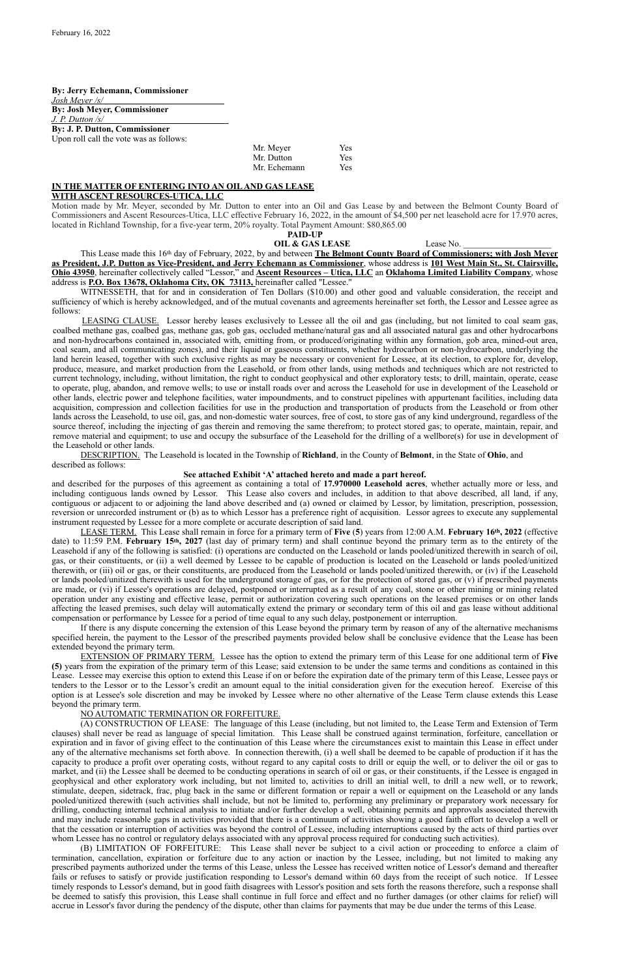#### **By: Jerry Echemann, Commissioner** *Josh Meyer /s/*

**By: Josh Meyer, Commissioner**  *J. P. Dutton /s/* **\_ By: J. P. Dutton, Commissioner** 

Upon roll call the vote was as follows:

| Mr. Meyer    | Yes |
|--------------|-----|
| Mr. Dutton   | Yes |
| Mr. Echemann | Yes |

#### **IN THE MATTER OF ENTERING INTO AN OIL AND GAS LEASE WITH ASCENT RESOURCES-UTICA, LLC**

Motion made by Mr. Meyer, seconded by Mr. Dutton to enter into an Oil and Gas Lease by and between the Belmont County Board of Commissioners and Ascent Resources-Utica, LLC effective February 16, 2022, in the amount of \$4,500 per net leasehold acre for 17.970 acres, located in Richland Township, for a five-year term, 20% royalty. Total Payment Amount: \$80,865.00

#### **PAID-UP**

### **OIL & GAS LEASE** Lease No.

This Lease made this 16th day of February, 2022, by and between **The Belmont County Board of Commissioners; with Josh Meyer as President, J.P. Dutton as Vice-President, and Jerry Echemann as Commissioner**, whose address is **101 West Main St., St. Clairsville, Ohio 43950**, hereinafter collectively called "Lessor," and **Ascent Resources – Utica, LLC** an **Oklahoma Limited Liability Company**, whose address is **P.O. Box 13678, Oklahoma City, OK 73113,** hereinafter called "Lessee."

WITNESSETH, that for and in consideration of Ten Dollars (\$10.00) and other good and valuable consideration, the receipt and sufficiency of which is hereby acknowledged, and of the mutual covenants and agreements hereinafter set forth, the Lessor and Lessee agree as follows:

LEASING CLAUSE. Lessor hereby leases exclusively to Lessee all the oil and gas (including, but not limited to coal seam gas, coalbed methane gas, coalbed gas, methane gas, gob gas, occluded methane/natural gas and all associated natural gas and other hydrocarbons and non-hydrocarbons contained in, associated with, emitting from, or produced/originating within any formation, gob area, mined-out area, coal seam, and all communicating zones), and their liquid or gaseous constituents, whether hydrocarbon or non-hydrocarbon, underlying the land herein leased, together with such exclusive rights as may be necessary or convenient for Lessee, at its election, to explore for, develop, produce, measure, and market production from the Leasehold, or from other lands, using methods and techniques which are not restricted to current technology, including, without limitation, the right to conduct geophysical and other exploratory tests; to drill, maintain, operate, cease to operate, plug, abandon, and remove wells; to use or install roads over and across the Leasehold for use in development of the Leasehold or other lands, electric power and telephone facilities, water impoundments, and to construct pipelines with appurtenant facilities, including data acquisition, compression and collection facilities for use in the production and transportation of products from the Leasehold or from other lands across the Leasehold, to use oil, gas, and non-domestic water sources, free of cost, to store gas of any kind underground, regardless of the source thereof, including the injecting of gas therein and removing the same therefrom; to protect stored gas; to operate, maintain, repair, and remove material and equipment; to use and occupy the subsurface of the Leasehold for the drilling of a wellbore(s) for use in development of the Leasehold or other lands.

(A) CONSTRUCTION OF LEASE: The language of this Lease (including, but not limited to, the Lease Term and Extension of Term clauses) shall never be read as language of special limitation. This Lease shall be construed against termination, forfeiture, cancellation or expiration and in favor of giving effect to the continuation of this Lease where the circumstances exist to maintain this Lease in effect under any of the alternative mechanisms set forth above. In connection therewith, (i) a well shall be deemed to be capable of production if it has the capacity to produce a profit over operating costs, without regard to any capital costs to drill or equip the well, or to deliver the oil or gas to market, and (ii) the Lessee shall be deemed to be conducting operations in search of oil or gas, or their constituents, if the Lessee is engaged in geophysical and other exploratory work including, but not limited to, activities to drill an initial well, to drill a new well, or to rework, stimulate, deepen, sidetrack, frac, plug back in the same or different formation or repair a well or equipment on the Leasehold or any lands pooled/unitized therewith (such activities shall include, but not be limited to, performing any preliminary or preparatory work necessary for drilling, conducting internal technical analysis to initiate and/or further develop a well, obtaining permits and approvals associated therewith and may include reasonable gaps in activities provided that there is a continuum of activities showing a good faith effort to develop a well or that the cessation or interruption of activities was beyond the control of Lessee, including interruptions caused by the acts of third parties over whom Lessee has no control or regulatory delays associated with any approval process required for conducting such activities).

DESCRIPTION. The Leasehold is located in the Township of **Richland**, in the County of **Belmont**, in the State of **Ohio**, and described as follows:

#### **See attached Exhibit 'A' attached hereto and made a part hereof.**

and described for the purposes of this agreement as containing a total of **17.970000 Leasehold acres**, whether actually more or less, and including contiguous lands owned by Lessor. This Lease also covers and includes, in addition to that above described, all land, if any, contiguous or adjacent to or adjoining the land above described and (a) owned or claimed by Lessor, by limitation, prescription, possession, reversion or unrecorded instrument or (b) as to which Lessor has a preference right of acquisition. Lessor agrees to execute any supplemental instrument requested by Lessee for a more complete or accurate description of said land.

LEASE TERM. This Lease shall remain in force for a primary term of **Five** (**5**) years from 12:00 A.M. **February 16th, 2022** (effective date) to 11:59 P.M. **February 15th, 2027** (last day of primary term) and shall continue beyond the primary term as to the entirety of the Leasehold if any of the following is satisfied: (i) operations are conducted on the Leasehold or lands pooled/unitized therewith in search of oil, gas, or their constituents, or (ii) a well deemed by Lessee to be capable of production is located on the Leasehold or lands pooled/unitized therewith, or (iii) oil or gas, or their constituents, are produced from the Leasehold or lands pooled/unitized therewith, or (iv) if the Leasehold or lands pooled/unitized therewith is used for the underground storage of gas, or for the protection of stored gas, or (v) if prescribed payments are made, or (vi) if Lessee's operations are delayed, postponed or interrupted as a result of any coal, stone or other mining or mining related operation under any existing and effective lease, permit or authorization covering such operations on the leased premises or on other lands affecting the leased premises, such delay will automatically extend the primary or secondary term of this oil and gas lease without additional compensation or performance by Lessee for a period of time equal to any such delay, postponement or interruption.

If there is any dispute concerning the extension of this Lease beyond the primary term by reason of any of the alternative mechanisms specified herein, the payment to the Lessor of the prescribed payments provided below shall be conclusive evidence that the Lease has been extended beyond the primary term.

EXTENSION OF PRIMARY TERM. Lessee has the option to extend the primary term of this Lease for one additional term of **Five (5)** years from the expiration of the primary term of this Lease; said extension to be under the same terms and conditions as contained in this Lease. Lessee may exercise this option to extend this Lease if on or before the expiration date of the primary term of this Lease, Lessee pays or tenders to the Lessor or to the Lessor's credit an amount equal to the initial consideration given for the execution hereof. Exercise of this option is at Lessee's sole discretion and may be invoked by Lessee where no other alternative of the Lease Term clause extends this Lease beyond the primary term.

### NO AUTOMATIC TERMINATION OR FORFEITURE.

(B) LIMITATION OF FORFEITURE: This Lease shall never be subject to a civil action or proceeding to enforce a claim of termination, cancellation, expiration or forfeiture due to any action or inaction by the Lessee, including, but not limited to making any prescribed payments authorized under the terms of this Lease, unless the Lessee has received written notice of Lessor's demand and thereafter fails or refuses to satisfy or provide justification responding to Lessor's demand within 60 days from the receipt of such notice. If Lessee timely responds to Lessor's demand, but in good faith disagrees with Lessor's position and sets forth the reasons therefore, such a response shall be deemed to satisfy this provision, this Lease shall continue in full force and effect and no further damages (or other claims for relief) will accrue in Lessor's favor during the pendency of the dispute, other than claims for payments that may be due under the terms of this Lease.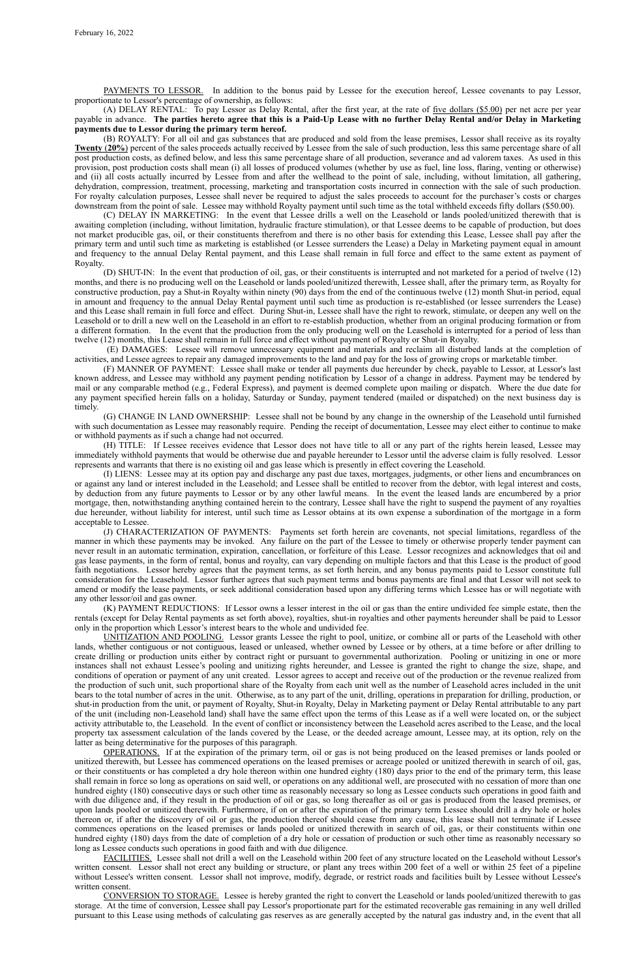PAYMENTS TO LESSOR. In addition to the bonus paid by Lessee for the execution hereof, Lessee covenants to pay Lessor, proportionate to Lessor's percentage of ownership, as follows:

(A) DELAY RENTAL: To pay Lessor as Delay Rental, after the first year, at the rate of five dollars (\$5.00) per net acre per year payable in advance. **The parties hereto agree that this is a Paid-Up Lease with no further Delay Rental and/or Delay in Marketing payments due to Lessor during the primary term hereof.**

(B) ROYALTY: For all oil and gas substances that are produced and sold from the lease premises, Lessor shall receive as its royalty **Twenty** (**20%**) percent of the sales proceeds actually received by Lessee from the sale of such production, less this same percentage share of all post production costs, as defined below, and less this same percentage share of all production, severance and ad valorem taxes. As used in this provision, post production costs shall mean (i) all losses of produced volumes (whether by use as fuel, line loss, flaring, venting or otherwise) and (ii) all costs actually incurred by Lessee from and after the wellhead to the point of sale, including, without limitation, all gathering, dehydration, compression, treatment, processing, marketing and transportation costs incurred in connection with the sale of such production. For royalty calculation purposes, Lessee shall never be required to adjust the sales proceeds to account for the purchaser's costs or charges downstream from the point of sale. Lessee may withhold Royalty payment until such time as the total withheld exceeds fifty dollars (\$50.00).

(C) DELAY IN MARKETING: In the event that Lessee drills a well on the Leasehold or lands pooled/unitized therewith that is awaiting completion (including, without limitation, hydraulic fracture stimulation), or that Lessee deems to be capable of production, but does not market producible gas, oil, or their constituents therefrom and there is no other basis for extending this Lease, Lessee shall pay after the primary term and until such time as marketing is established (or Lessee surrenders the Lease) a Delay in Marketing payment equal in amount and frequency to the annual Delay Rental payment, and this Lease shall remain in full force and effect to the same extent as payment of Royalty.

(D) SHUT-IN: In the event that production of oil, gas, or their constituents is interrupted and not marketed for a period of twelve (12) months, and there is no producing well on the Leasehold or lands pooled/unitized therewith, Lessee shall, after the primary term, as Royalty for constructive production, pay a Shut-in Royalty within ninety (90) days from the end of the continuous twelve (12) month Shut-in period, equal in amount and frequency to the annual Delay Rental payment until such time as production is re-established (or lessee surrenders the Lease) and this Lease shall remain in full force and effect. During Shut-in, Lessee shall have the right to rework, stimulate, or deepen any well on the Leasehold or to drill a new well on the Leasehold in an effort to re-establish production, whether from an original producing formation or from a different formation. In the event that the production from the only producing well on the Leasehold is interrupted for a period of less than twelve (12) months, this Lease shall remain in full force and effect without payment of Royalty or Shut-in Royalty.

 (E) DAMAGES: Lessee will remove unnecessary equipment and materials and reclaim all disturbed lands at the completion of activities, and Lessee agrees to repair any damaged improvements to the land and pay for the loss of growing crops or marketable timber.

(F) MANNER OF PAYMENT: Lessee shall make or tender all payments due hereunder by check, payable to Lessor, at Lessor's last known address, and Lessee may withhold any payment pending notification by Lessor of a change in address. Payment may be tendered by mail or any comparable method (e.g., Federal Express), and payment is deemed complete upon mailing or dispatch. Where the due date for any payment specified herein falls on a holiday, Saturday or Sunday, payment tendered (mailed or dispatched) on the next business day is timely.

(G) CHANGE IN LAND OWNERSHIP: Lessee shall not be bound by any change in the ownership of the Leasehold until furnished with such documentation as Lessee may reasonably require. Pending the receipt of documentation, Lessee may elect either to continue to make or withhold payments as if such a change had not occurred.

(H) TITLE: If Lessee receives evidence that Lessor does not have title to all or any part of the rights herein leased, Lessee may immediately withhold payments that would be otherwise due and payable hereunder to Lessor until the adverse claim is fully resolved. Lessor represents and warrants that there is no existing oil and gas lease which is presently in effect covering the Leasehold.

(I) LIENS: Lessee may at its option pay and discharge any past due taxes, mortgages, judgments, or other liens and encumbrances on or against any land or interest included in the Leasehold; and Lessee shall be entitled to recover from the debtor, with legal interest and costs, by deduction from any future payments to Lessor or by any other lawful means. In the event the leased lands are encumbered by a prior mortgage, then, notwithstanding anything contained herein to the contrary, Lessee shall have the right to suspend the payment of any royalties due hereunder, without liability for interest, until such time as Lessor obtains at its own expense a subordination of the mortgage in a form acceptable to Lessee.

(J) CHARACTERIZATION OF PAYMENTS: Payments set forth herein are covenants, not special limitations, regardless of the manner in which these payments may be invoked. Any failure on the part of the Lessee to timely or otherwise properly tender payment can never result in an automatic termination, expiration, cancellation, or forfeiture of this Lease. Lessor recognizes and acknowledges that oil and gas lease payments, in the form of rental, bonus and royalty, can vary depending on multiple factors and that this Lease is the product of good faith negotiations. Lessor hereby agrees that the payment terms, as set forth herein, and any bonus payments paid to Lessor constitute full consideration for the Leasehold. Lessor further agrees that such payment terms and bonus payments are final and that Lessor will not seek to amend or modify the lease payments, or seek additional consideration based upon any differing terms which Lessee has or will negotiate with any other lessor/oil and gas owner.

(K) PAYMENT REDUCTIONS: If Lessor owns a lesser interest in the oil or gas than the entire undivided fee simple estate, then the rentals (except for Delay Rental payments as set forth above), royalties, shut-in royalties and other payments hereunder shall be paid to Lessor only in the proportion which Lessor's interest bears to the whole and undivided fee.

UNITIZATION AND POOLING. Lessor grants Lessee the right to pool, unitize, or combine all or parts of the Leasehold with other lands, whether contiguous or not contiguous, leased or unleased, whether owned by Lessee or by others, at a time before or after drilling to create drilling or production units either by contract right or pursuant to governmental authorization. Pooling or unitizing in one or more instances shall not exhaust Lessee's pooling and unitizing rights hereunder, and Lessee is granted the right to change the size, shape, and conditions of operation or payment of any unit created. Lessor agrees to accept and receive out of the production or the revenue realized from the production of such unit, such proportional share of the Royalty from each unit well as the number of Leasehold acres included in the unit bears to the total number of acres in the unit. Otherwise, as to any part of the unit, drilling, operations in preparation for drilling, production, or shut-in production from the unit, or payment of Royalty, Shut-in Royalty, Delay in Marketing payment or Delay Rental attributable to any part of the unit (including non-Leasehold land) shall have the same effect upon the terms of this Lease as if a well were located on, or the subject

activity attributable to, the Leasehold. In the event of conflict or inconsistency between the Leasehold acres ascribed to the Lease, and the local property tax assessment calculation of the lands covered by the Lease, or the deeded acreage amount, Lessee may, at its option, rely on the latter as being determinative for the purposes of this paragraph.

OPERATIONS. If at the expiration of the primary term, oil or gas is not being produced on the leased premises or lands pooled or unitized therewith, but Lessee has commenced operations on the leased premises or acreage pooled or unitized therewith in search of oil, gas, or their constituents or has completed a dry hole thereon within one hundred eighty (180) days prior to the end of the primary term, this lease shall remain in force so long as operations on said well, or operations on any additional well, are prosecuted with no cessation of more than one hundred eighty (180) consecutive days or such other time as reasonably necessary so long as Lessee conducts such operations in good faith and with due diligence and, if they result in the production of oil or gas, so long thereafter as oil or gas is produced from the leased premises, or upon lands pooled or unitized therewith. Furthermore, if on or after the expiration of the primary term Lessee should drill a dry hole or holes thereon or, if after the discovery of oil or gas, the production thereof should cease from any cause, this lease shall not terminate if Lessee commences operations on the leased premises or lands pooled or unitized therewith in search of oil, gas, or their constituents within one hundred eighty (180) days from the date of completion of a dry hole or cessation of production or such other time as reasonably necessary so long as Lessee conducts such operations in good faith and with due diligence.

FACILITIES. Lessee shall not drill a well on the Leasehold within 200 feet of any structure located on the Leasehold without Lessor's written consent. Lessor shall not erect any building or structure, or plant any trees within 200 feet of a well or within 25 feet of a pipeline without Lessee's written consent. Lessor shall not improve, modify, degrade, or restrict roads and facilities built by Lessee without Lessee's written consent.

CONVERSION TO STORAGE. Lessee is hereby granted the right to convert the Leasehold or lands pooled/unitized therewith to gas storage. At the time of conversion, Lessee shall pay Lessor's proportionate part for the estimated recoverable gas remaining in any well drilled pursuant to this Lease using methods of calculating gas reserves as are generally accepted by the natural gas industry and, in the event that all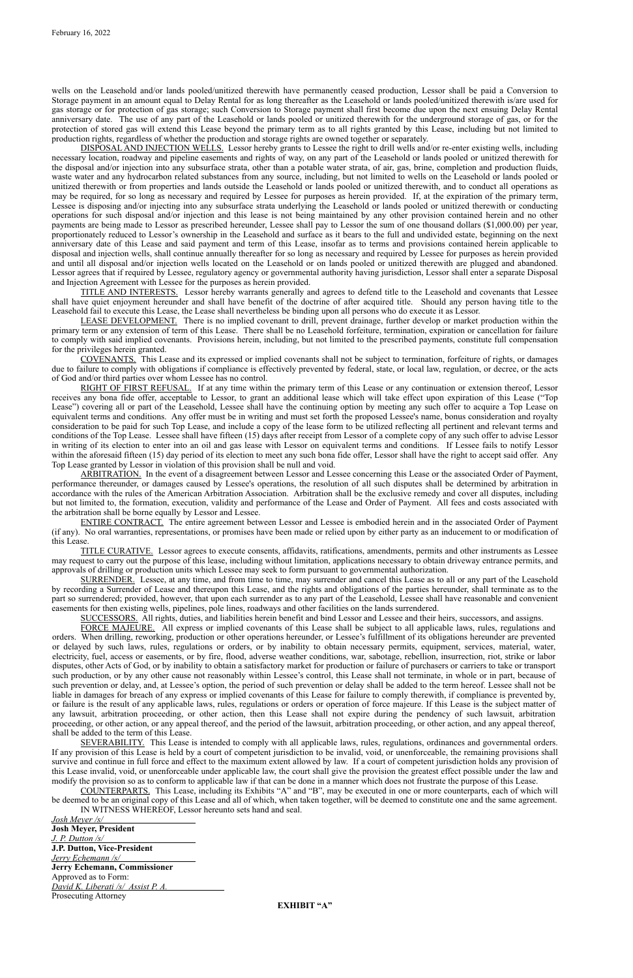wells on the Leasehold and/or lands pooled/unitized therewith have permanently ceased production, Lessor shall be paid a Conversion to Storage payment in an amount equal to Delay Rental for as long thereafter as the Leasehold or lands pooled/unitized therewith is/are used for gas storage or for protection of gas storage; such Conversion to Storage payment shall first become due upon the next ensuing Delay Rental anniversary date. The use of any part of the Leasehold or lands pooled or unitized therewith for the underground storage of gas, or for the protection of stored gas will extend this Lease beyond the primary term as to all rights granted by this Lease, including but not limited to production rights, regardless of whether the production and storage rights are owned together or separately.

DISPOSAL AND INJECTION WELLS. Lessor hereby grants to Lessee the right to drill wells and/or re-enter existing wells, including necessary location, roadway and pipeline easements and rights of way, on any part of the Leasehold or lands pooled or unitized therewith for the disposal and/or injection into any subsurface strata, other than a potable water strata, of air, gas, brine, completion and production fluids, waste water and any hydrocarbon related substances from any source, including, but not limited to wells on the Leasehold or lands pooled or unitized therewith or from properties and lands outside the Leasehold or lands pooled or unitized therewith, and to conduct all operations as may be required, for so long as necessary and required by Lessee for purposes as herein provided. If, at the expiration of the primary term, Lessee is disposing and/or injecting into any subsurface strata underlying the Leasehold or lands pooled or unitized therewith or conducting operations for such disposal and/or injection and this lease is not being maintained by any other provision contained herein and no other payments are being made to Lessor as prescribed hereunder, Lessee shall pay to Lessor the sum of one thousand dollars (\$1,000.00) per year, proportionately reduced to Lessor's ownership in the Leasehold and surface as it bears to the full and undivided estate, beginning on the next anniversary date of this Lease and said payment and term of this Lease, insofar as to terms and provisions contained herein applicable to disposal and injection wells, shall continue annually thereafter for so long as necessary and required by Lessee for purposes as herein provided and until all disposal and/or injection wells located on the Leasehold or on lands pooled or unitized therewith are plugged and abandoned. Lessor agrees that if required by Lessee, regulatory agency or governmental authority having jurisdiction, Lessor shall enter a separate Disposal and Injection Agreement with Lessee for the purposes as herein provided.

RIGHT OF FIRST REFUSAL. If at any time within the primary term of this Lease or any continuation or extension thereof, Lessor receives any bona fide offer, acceptable to Lessor, to grant an additional lease which will take effect upon expiration of this Lease ("Top Lease") covering all or part of the Leasehold, Lessee shall have the continuing option by meeting any such offer to acquire a Top Lease on equivalent terms and conditions. Any offer must be in writing and must set forth the proposed Lessee's name, bonus consideration and royalty consideration to be paid for such Top Lease, and include a copy of the lease form to be utilized reflecting all pertinent and relevant terms and conditions of the Top Lease. Lessee shall have fifteen (15) days after receipt from Lessor of a complete copy of any such offer to advise Lessor in writing of its election to enter into an oil and gas lease with Lessor on equivalent terms and conditions. If Lessee fails to notify Lessor within the aforesaid fifteen (15) day period of its election to meet any such bona fide offer, Lessor shall have the right to accept said offer. Any Top Lease granted by Lessor in violation of this provision shall be null and void.

TITLE AND INTERESTS. Lessor hereby warrants generally and agrees to defend title to the Leasehold and covenants that Lessee shall have quiet enjoyment hereunder and shall have benefit of the doctrine of after acquired title. Should any person having title to the Leasehold fail to execute this Lease, the Lease shall nevertheless be binding upon all persons who do execute it as Lessor.

LEASE DEVELOPMENT. There is no implied covenant to drill, prevent drainage, further develop or market production within the primary term or any extension of term of this Lease. There shall be no Leasehold forfeiture, termination, expiration or cancellation for failure to comply with said implied covenants. Provisions herein, including, but not limited to the prescribed payments, constitute full compensation for the privileges herein granted.

COVENANTS. This Lease and its expressed or implied covenants shall not be subject to termination, forfeiture of rights, or damages due to failure to comply with obligations if compliance is effectively prevented by federal, state, or local law, regulation, or decree, or the acts of God and/or third parties over whom Lessee has no control.

ARBITRATION. In the event of a disagreement between Lessor and Lessee concerning this Lease or the associated Order of Payment, performance thereunder, or damages caused by Lessee's operations, the resolution of all such disputes shall be determined by arbitration in accordance with the rules of the American Arbitration Association. Arbitration shall be the exclusive remedy and cover all disputes, including but not limited to, the formation, execution, validity and performance of the Lease and Order of Payment. All fees and costs associated with the arbitration shall be borne equally by Lessor and Lessee.

ENTIRE CONTRACT. The entire agreement between Lessor and Lessee is embodied herein and in the associated Order of Payment (if any). No oral warranties, representations, or promises have been made or relied upon by either party as an inducement to or modification of this Lease.

TITLE CURATIVE. Lessor agrees to execute consents, affidavits, ratifications, amendments, permits and other instruments as Lessee may request to carry out the purpose of this lease, including without limitation, applications necessary to obtain driveway entrance permits, and approvals of drilling or production units which Lessee may seek to form pursuant to governmental authorization.

SURRENDER. Lessee, at any time, and from time to time, may surrender and cancel this Lease as to all or any part of the Leasehold by recording a Surrender of Lease and thereupon this Lease, and the rights and obligations of the parties hereunder, shall terminate as to the part so surrendered; provided, however, that upon each surrender as to any part of the Leasehold, Lessee shall have reasonable and convenient easements for then existing wells, pipelines, pole lines, roadways and other facilities on the lands surrendered.

SUCCESSORS. All rights, duties, and liabilities herein benefit and bind Lessor and Lessee and their heirs, successors, and assigns.

FORCE MAJEURE. All express or implied covenants of this Lease shall be subject to all applicable laws, rules, regulations and orders. When drilling, reworking, production or other operations hereunder, or Lessee's fulfillment of its obligations hereunder are prevented or delayed by such laws, rules, regulations or orders, or by inability to obtain necessary permits, equipment, services, material, water, electricity, fuel, access or easements, or by fire, flood, adverse weather conditions, war, sabotage, rebellion, insurrection, riot, strike or labor disputes, other Acts of God, or by inability to obtain a satisfactory market for production or failure of purchasers or carriers to take or transport such production, or by any other cause not reasonably within Lessee's control, this Lease shall not terminate, in whole or in part, because of such prevention or delay, and, at Lessee's option, the period of such prevention or delay shall be added to the term hereof. Lessee shall not be liable in damages for breach of any express or implied covenants of this Lease for failure to comply therewith, if compliance is prevented by, or failure is the result of any applicable laws, rules, regulations or orders or operation of force majeure. If this Lease is the subject matter of any lawsuit, arbitration proceeding, or other action, then this Lease shall not expire during the pendency of such lawsuit, arbitration

proceeding, or other action, or any appeal thereof, and the period of the lawsuit, arbitration proceeding, or other action, and any appeal thereof, shall be added to the term of this Lease.

SEVERABILITY. This Lease is intended to comply with all applicable laws, rules, regulations, ordinances and governmental orders. If any provision of this Lease is held by a court of competent jurisdiction to be invalid, void, or unenforceable, the remaining provisions shall survive and continue in full force and effect to the maximum extent allowed by law. If a court of competent jurisdiction holds any provision of this Lease invalid, void, or unenforceable under applicable law, the court shall give the provision the greatest effect possible under the law and modify the provision so as to conform to applicable law if that can be done in a manner which does not frustrate the purpose of this Lease.

COUNTERPARTS. This Lease, including its Exhibits "A" and "B", may be executed in one or more counterparts, each of which will be deemed to be an original copy of this Lease and all of which, when taken together, will be deemed to constitute one and the same agreement.

IN WITNESS WHEREOF, Lessor hereunto sets hand and seal.

*Josh Meyer /s/*

**Josh Meyer, President** *J. P. Dutton /s/* **J.P. Dutton, Vice-President** *Jerry Echemann /s/* **Jerry Echemann, Commissioner** Approved as to Form: *David K. Liberati /s/ Assist P. A.*

Prosecuting Attorney

**EXHIBIT "A"**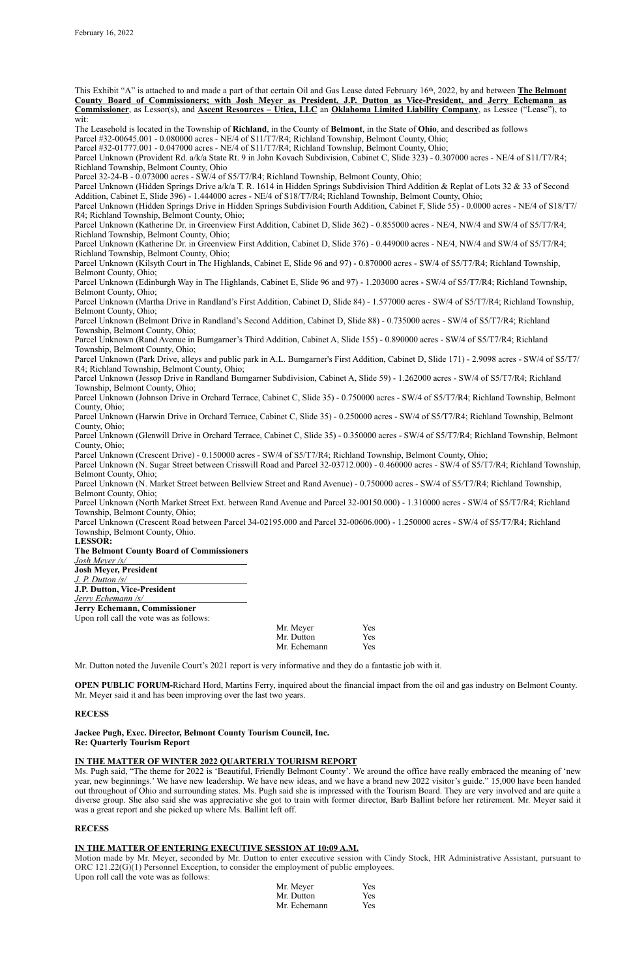This Exhibit "A" is attached to and made a part of that certain Oil and Gas Lease dated February 16th, 2022, by and between **The Belmont County Board of Commissioners; with Josh Meyer as President, J.P. Dutton as Vice-President, and Jerry Echemann as Commissioner**, as Lessor(s), and **Ascent Resources – Utica, LLC** an **Oklahoma Limited Liability Company**, as Lessee ("Lease"), to wit:

The Leasehold is located in the Township of **Richland**, in the County of **Belmont**, in the State of **Ohio**, and described as follows

Parcel #32-00645.001 - 0.080000 acres - NE/4 of S11/T7/R4; Richland Township, Belmont County, Ohio;

Parcel Unknown (Hidden Springs Drive a/k/a T. R. 1614 in Hidden Springs Subdivision Third Addition & Replat of Lots 32 & 33 of Second Addition, Cabinet E, Slide 396) - 1.444000 acres - NE/4 of S18/T7/R4; Richland Township, Belmont County, Ohio;

Parcel #32-01777.001 - 0.047000 acres - NE/4 of S11/T7/R4; Richland Township, Belmont County, Ohio;

Parcel Unknown (Provident Rd. a/k/a State Rt. 9 in John Kovach Subdivision, Cabinet C, Slide 323) - 0.307000 acres - NE/4 of S11/T7/R4; Richland Township, Belmont County, Ohio

Parcel 32-24-B - 0.073000 acres - SW/4 of S5/T7/R4; Richland Township, Belmont County, Ohio;

Parcel Unknown (Hidden Springs Drive in Hidden Springs Subdivision Fourth Addition, Cabinet F, Slide 55) - 0.0000 acres - NE/4 of S18/T7/ R4; Richland Township, Belmont County, Ohio;

Parcel Unknown (Katherine Dr. in Greenview First Addition, Cabinet D, Slide 362) - 0.855000 acres - NE/4, NW/4 and SW/4 of S5/T7/R4; Richland Township, Belmont County, Ohio;

Parcel Unknown (Katherine Dr. in Greenview First Addition, Cabinet D, Slide 376) - 0.449000 acres - NE/4, NW/4 and SW/4 of S5/T7/R4; Richland Township, Belmont County, Ohio;

Parcel Unknown (Kilsyth Court in The Highlands, Cabinet E, Slide 96 and 97) - 0.870000 acres - SW/4 of S5/T7/R4; Richland Township, Belmont County, Ohio;

Parcel Unknown (Edinburgh Way in The Highlands, Cabinet E, Slide 96 and 97) - 1.203000 acres - SW/4 of S5/T7/R4; Richland Township, Belmont County, Ohio;

Parcel Unknown (Martha Drive in Randland's First Addition, Cabinet D, Slide 84) - 1.577000 acres - SW/4 of S5/T7/R4; Richland Township, Belmont County, Ohio;

Parcel Unknown (Belmont Drive in Randland's Second Addition, Cabinet D, Slide 88) - 0.735000 acres - SW/4 of S5/T7/R4; Richland Township, Belmont County, Ohio;

Parcel Unknown (Rand Avenue in Bumgarner's Third Addition, Cabinet A, Slide 155) - 0.890000 acres - SW/4 of S5/T7/R4; Richland Township, Belmont County, Ohio;

Parcel Unknown (Park Drive, alleys and public park in A.L. Bumgarner's First Addition, Cabinet D, Slide 171) - 2.9098 acres - SW/4 of S5/T7/ R4; Richland Township, Belmont County, Ohio;

Parcel Unknown (Jessop Drive in Randland Bumgarner Subdivision, Cabinet A, Slide 59) - 1.262000 acres - SW/4 of S5/T7/R4; Richland Township, Belmont County, Ohio;

Parcel Unknown (Johnson Drive in Orchard Terrace, Cabinet C, Slide 35) - 0.750000 acres - SW/4 of S5/T7/R4; Richland Township, Belmont County, Ohio;

Parcel Unknown (Harwin Drive in Orchard Terrace, Cabinet C, Slide 35) - 0.250000 acres - SW/4 of S5/T7/R4; Richland Township, Belmont County, Ohio;

Parcel Unknown (Glenwill Drive in Orchard Terrace, Cabinet C, Slide 35) - 0.350000 acres - SW/4 of S5/T7/R4; Richland Township, Belmont County, Ohio;

Parcel Unknown (Crescent Drive) - 0.150000 acres - SW/4 of S5/T7/R4; Richland Township, Belmont County, Ohio;

Parcel Unknown (N. Sugar Street between Crisswill Road and Parcel 32-03712.000) - 0.460000 acres - SW/4 of S5/T7/R4; Richland Township, Belmont County, Ohio;

Parcel Unknown (N. Market Street between Bellview Street and Rand Avenue) - 0.750000 acres - SW/4 of S5/T7/R4; Richland Township, Belmont County, Ohio;

Parcel Unknown (North Market Street Ext. between Rand Avenue and Parcel 32-00150.000) - 1.310000 acres - SW/4 of S5/T7/R4; Richland Township, Belmont County, Ohio;

Parcel Unknown (Crescent Road between Parcel 34-02195.000 and Parcel 32-00606.000) - 1.250000 acres - SW/4 of S5/T7/R4; Richland Township, Belmont County, Ohio.

**LESSOR:**

#### **The Belmont County Board of Commissioners**

*Josh Meyer /s/* **Josh Meyer, President**

*J. P. Dutton /s/* **J.P. Dutton, Vice-President**

*Jerry Echemann /s/*

**Jerry Echemann, Commissioner**

Upon roll call the vote was as follows:

| Mr. Meyer    | <b>Yes</b> |
|--------------|------------|
| Mr. Dutton   | <b>Yes</b> |
| Mr. Echemann | <b>Yes</b> |

Mr. Dutton noted the Juvenile Court's 2021 report is very informative and they do a fantastic job with it.

**OPEN PUBLIC FORUM-**Richard Hord, Martins Ferry, inquired about the financial impact from the oil and gas industry on Belmont County. Mr. Meyer said it and has been improving over the last two years.

**RECESS**

**Jackee Pugh, Exec. Director, Belmont County Tourism Council, Inc. Re: Quarterly Tourism Report**

### **IN THE MATTER OF WINTER 2022 QUARTERLY TOURISM REPORT**

Ms. Pugh said, "The theme for 2022 is 'Beautiful, Friendly Belmont County'. We around the office have really embraced the meaning of 'new year, new beginnings.' We have new leadership. We have new ideas, and we have a brand new 2022 visitor's guide." 15,000 have been handed out throughout of Ohio and surrounding states. Ms. Pugh said she is impressed with the Tourism Board. They are very involved and are quite a diverse group. She also said she was appreciative she got to train with former director, Barb Ballint before her retirement. Mr. Meyer said it was a great report and she picked up where Ms. Ballint left off.

### **RECESS**

### **IN THE MATTER OF ENTERING EXECUTIVE SESSION AT 10:09 A.M.**

Motion made by Mr. Meyer, seconded by Mr. Dutton to enter executive session with Cindy Stock, HR Administrative Assistant, pursuant to ORC 121.22(G)(1) Personnel Exception, to consider the employment of public employees.

Upon roll call the vote was as follows:

| Mr. Meyer    | <b>Yes</b> |
|--------------|------------|
| Mr. Dutton   | <b>Yes</b> |
| Mr. Echemann | <b>Yes</b> |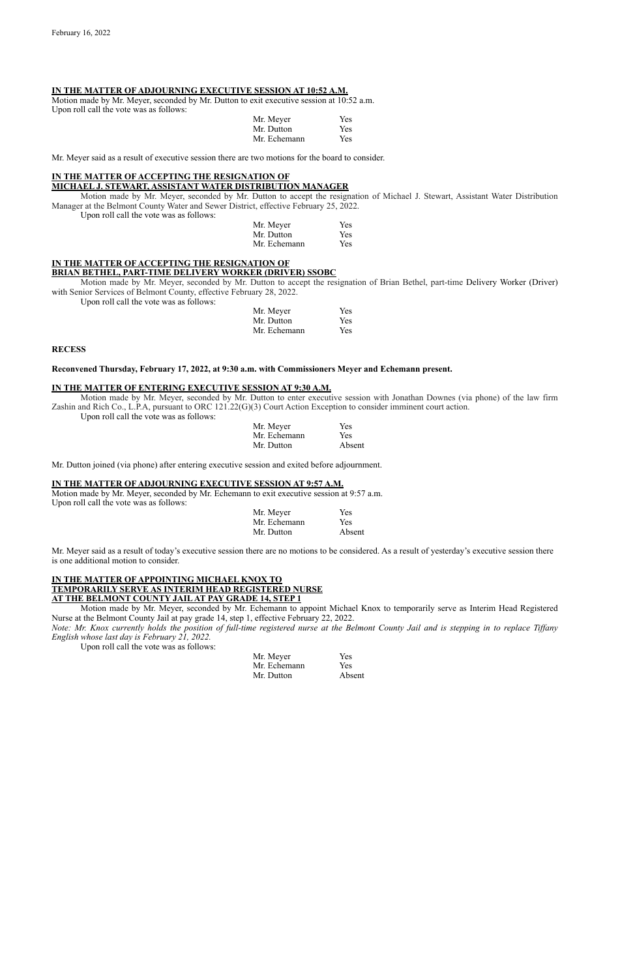#### **IN THE MATTER OF ADJOURNING EXECUTIVE SESSION AT 10:52 A.M.**

Motion made by Mr. Meyer, seconded by Mr. Dutton to exit executive session at 10:52 a.m. Upon roll call the vote was as follows:

| Mr. Meyer    | <b>Yes</b> |
|--------------|------------|
| Mr. Dutton   | <b>Yes</b> |
| Mr. Echemann | <b>Yes</b> |

Mr. Meyer said as a result of executive session there are two motions for the board to consider.

### **IN THE MATTER OF ACCEPTING THE RESIGNATION OF**

#### **MICHAEL J. STEWART, ASSISTANT WATER DISTRIBUTION MANAGER**

Motion made by Mr. Meyer, seconded by Mr. Dutton to accept the resignation of Michael J. Stewart, Assistant Water Distribution Manager at the Belmont County Water and Sewer District, effective February 25, 2022.

Upon roll call the vote was as follows:

| Mr. Meyer    | Yes |
|--------------|-----|
| Mr. Dutton   | Yes |
| Mr. Echemann | Yes |

### **IN THE MATTER OF ACCEPTING THE RESIGNATION OF BRIAN BETHEL, PART-TIME DELIVERY WORKER (DRIVER) SSOBC**

Motion made by Mr. Meyer, seconded by Mr. Dutton to accept the resignation of Brian Bethel, part-time Delivery Worker (Driver) with Senior Services of Belmont County, effective February 28, 2022.

Upon roll call the vote was as follows:

| Mr. Meyer    | Yes        |
|--------------|------------|
| Mr. Dutton   | <b>Yes</b> |
| Mr. Echemann | <b>Yes</b> |

#### **RECESS**

### **Reconvened Thursday, February 17, 2022, at 9:30 a.m. with Commissioners Meyer and Echemann present.**

#### **IN THE MATTER OF ENTERING EXECUTIVE SESSION AT 9:30 A.M.**

Motion made by Mr. Meyer, seconded by Mr. Dutton to enter executive session with Jonathan Downes (via phone) of the law firm Zashin and Rich Co., L.P.A, pursuant to ORC 121.22(G)(3) Court Action Exception to consider imminent court action.

Upon roll call the vote was as follows:

| Mr. Meyer    | <b>Yes</b> |
|--------------|------------|
| Mr. Echemann | <b>Yes</b> |
| Mr. Dutton   | Absent     |

Mr. Dutton joined (via phone) after entering executive session and exited before adjournment.

#### **IN THE MATTER OF ADJOURNING EXECUTIVE SESSION AT 9:57 A.M.**

Motion made by Mr. Meyer, seconded by Mr. Echemann to exit executive session at 9:57 a.m. Upon roll call the vote was as follows:

| Mr. Meyer    | <b>Yes</b> |
|--------------|------------|
| Mr. Echemann | <b>Yes</b> |
| Mr. Dutton   | Absent     |

Mr. Meyer said as a result of today's executive session there are no motions to be considered. As a result of yesterday's executive session there is one additional motion to consider.

### **IN THE MATTER OF APPOINTING MICHAEL KNOX TO TEMPORARILY SERVE AS INTERIM HEAD REGISTERED NURSE AT THE BELMONT COUNTY JAIL AT PAY GRADE 14, STEP 1**

Motion made by Mr. Meyer, seconded by Mr. Echemann to appoint Michael Knox to temporarily serve as Interim Head Registered Nurse at the Belmont County Jail at pay grade 14, step 1, effective February 22, 2022.

*Note: Mr. Knox currently holds the position of full-time registered nurse at the Belmont County Jail and is stepping in to replace Tiffany English whose last day is February 21, 2022.*

Upon roll call the vote was as follows:

| Mr. Meyer    | <b>Yes</b> |
|--------------|------------|
| Mr. Echemann | <b>Yes</b> |
| Mr. Dutton   | Absent     |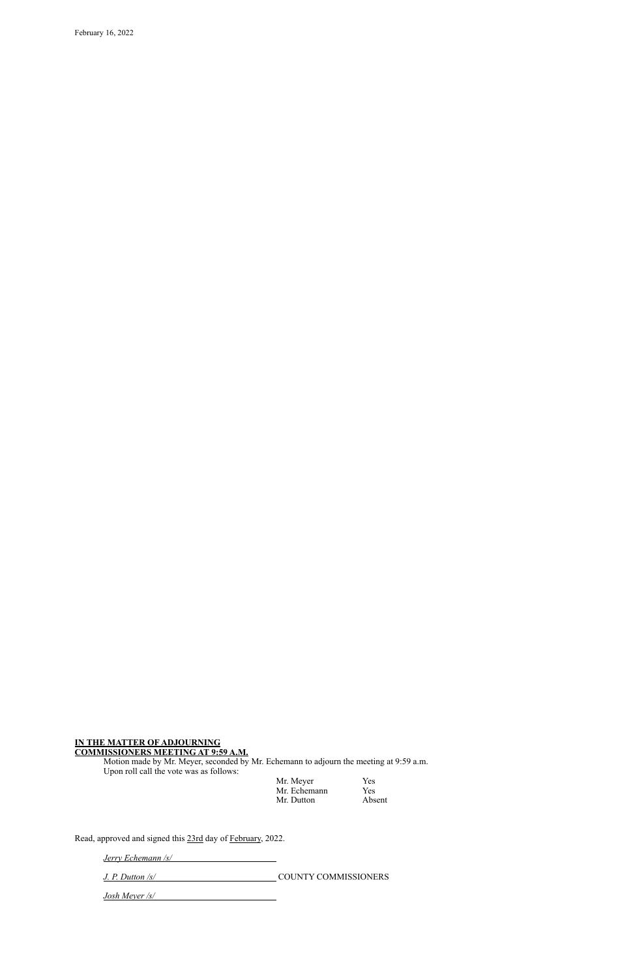February 16, 2022

### **IN THE MATTER OF ADJOURNING COMMISSIONERS MEETING AT 9:59 A.M.**

Motion made by Mr. Meyer, seconded by Mr. Echemann to adjourn the meeting at 9:59 a.m. Upon roll call the vote was as follows:

| Mr. Meyer    | Yes        |
|--------------|------------|
| Mr. Echemann | <b>Yes</b> |
| Mr. Dutton   | Absent     |

Read, approved and signed this 23rd day of February, 2022.

*Jerry Echemann /s/*

| $J. P.$ Dutton $\sqrt{s}$ | <b>COUNTY COMMISSIONERS</b> |
|---------------------------|-----------------------------|
|---------------------------|-----------------------------|

*Josh Meyer /s/*